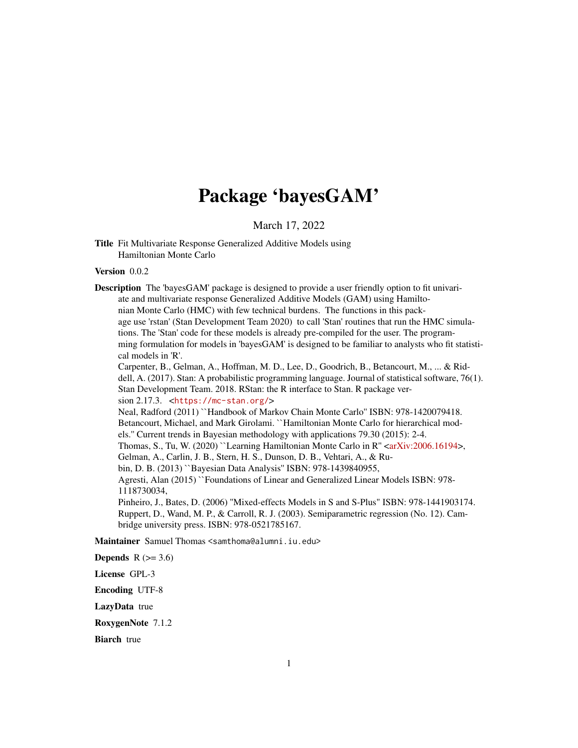# Package 'bayesGAM'

March 17, 2022

<span id="page-0-0"></span>Title Fit Multivariate Response Generalized Additive Models using Hamiltonian Monte Carlo

Version 0.0.2

Description The 'bayesGAM' package is designed to provide a user friendly option to fit univariate and multivariate response Generalized Additive Models (GAM) using Hamiltonian Monte Carlo (HMC) with few technical burdens. The functions in this package use 'rstan' (Stan Development Team 2020) to call 'Stan' routines that run the HMC simulations. The 'Stan' code for these models is already pre-compiled for the user. The programming formulation for models in 'bayesGAM' is designed to be familiar to analysts who fit statistical models in 'R'.

Carpenter, B., Gelman, A., Hoffman, M. D., Lee, D., Goodrich, B., Betancourt, M., ... & Riddell, A. (2017). Stan: A probabilistic programming language. Journal of statistical software, 76(1). Stan Development Team. 2018. RStan: the R interface to Stan. R package version 2.17.3. <<https://mc-stan.org/>>

Neal, Radford (2011) ``Handbook of Markov Chain Monte Carlo'' ISBN: 978-1420079418. Betancourt, Michael, and Mark Girolami. ``Hamiltonian Monte Carlo for hierarchical models.'' Current trends in Bayesian methodology with applications 79.30 (2015): 2-4. Thomas, S., Tu, W. (2020) ``Learning Hamiltonian Monte Carlo in R" [<arXiv:2006.16194>](https://arxiv.org/abs/2006.16194), Gelman, A., Carlin, J. B., Stern, H. S., Dunson, D. B., Vehtari, A., & Rubin, D. B. (2013) ``Bayesian Data Analysis'' ISBN: 978-1439840955, Agresti, Alan (2015) ``Foundations of Linear and Generalized Linear Models ISBN: 978- 1118730034, Pinheiro, J., Bates, D. (2006) ''Mixed-effects Models in S and S-Plus" ISBN: 978-1441903174. Ruppert, D., Wand, M. P., & Carroll, R. J. (2003). Semiparametric regression (No. 12). Cam-

bridge university press. ISBN: 978-0521785167.

Maintainer Samuel Thomas <samthoma@alumni.iu.edu>

**Depends**  $R$  ( $>= 3.6$ )

License GPL-3

Encoding UTF-8

LazyData true

RoxygenNote 7.1.2

**Biarch** true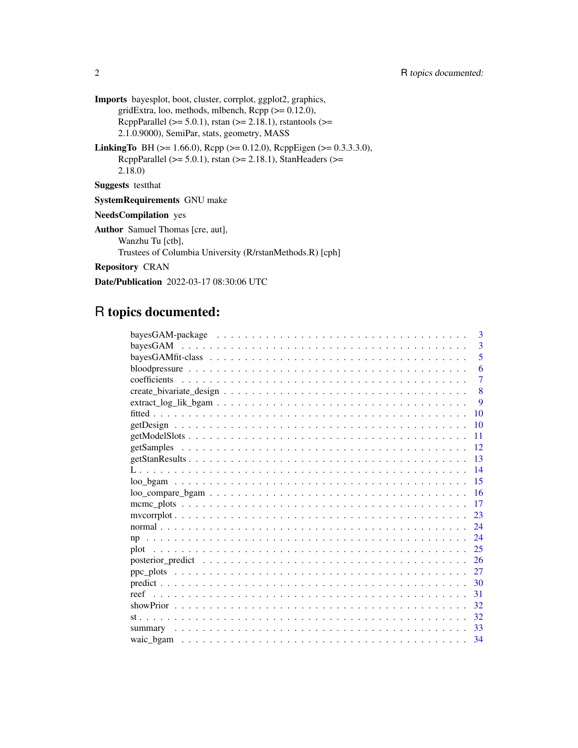- Imports bayesplot, boot, cluster, corrplot, ggplot2, graphics, gridExtra, loo, methods, mlbench,  $\text{Rcpp} (> = 0.12.0)$ , RcppParallel ( $>= 5.0.1$ ), rstan ( $>= 2.18.1$ ), rstantools ( $>=$ 2.1.0.9000), SemiPar, stats, geometry, MASS
- LinkingTo BH (>= 1.66.0), Rcpp (>= 0.12.0), RcppEigen (>= 0.3.3.3.0), RcppParallel ( $>= 5.0.1$ ), rstan ( $>= 2.18.1$ ), StanHeaders ( $>=$ 2.18.0)

Suggests testthat

SystemRequirements GNU make

NeedsCompilation yes

Author Samuel Thomas [cre, aut], Wanzhu Tu [ctb], Trustees of Columbia University (R/rstanMethods.R) [cph]

Repository CRAN

Date/Publication 2022-03-17 08:30:06 UTC

# R topics documented:

| 3              |
|----------------|
| 3              |
| 5              |
| 6              |
| $\overline{7}$ |
| 8              |
| 9              |
| 10             |
| 10             |
| 11             |
| 12             |
| 13             |
| 14             |
| 15             |
| 16             |
| 17             |
| 23             |
| 24             |
| 24             |
| 25             |
| 26             |
|                |
| 30             |
| 31             |
|                |
| 32             |
|                |
|                |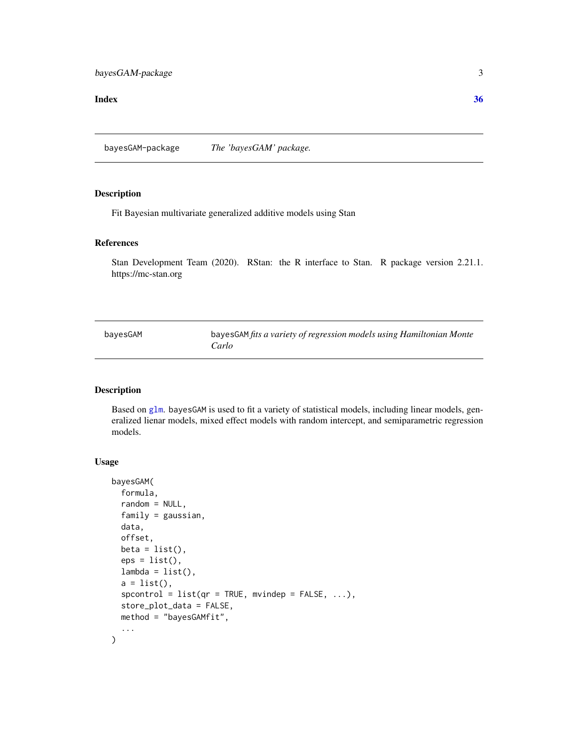#### <span id="page-2-0"></span>**Index** [36](#page-35-0)

bayesGAM-package *The 'bayesGAM' package.*

#### Description

Fit Bayesian multivariate generalized additive models using Stan

# References

Stan Development Team (2020). RStan: the R interface to Stan. R package version 2.21.1. https://mc-stan.org

| bayesGAM | bayesGAM fits a variety of regression models using Hamiltonian Monte |
|----------|----------------------------------------------------------------------|
|          | Carlo                                                                |

# Description

Based on [glm](#page-0-0). bayesGAM is used to fit a variety of statistical models, including linear models, generalized lienar models, mixed effect models with random intercept, and semiparametric regression models.

# Usage

```
bayesGAM(
  formula,
  random = NULL,
  family = gaussian,
 data,
  offset,
 beta = list(),eps = list(),
  lambda = list(),a = list(),
  spcontrol = list(qr = TRUE, mving = FALSE, ...),store_plot_data = FALSE,
 method = "bayesGAMfit",
  ...
\mathcal{E}
```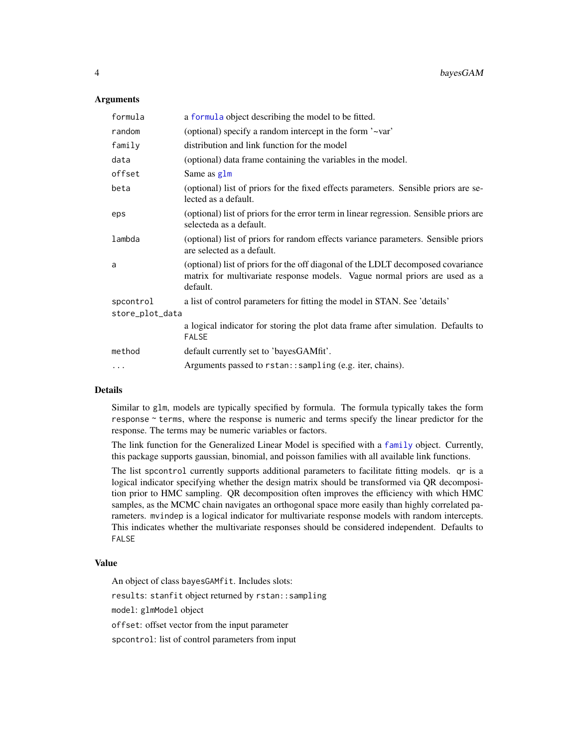# <span id="page-3-0"></span>**Arguments**

| formula         | a formula object describing the model to be fitted.                                                                                                                        |  |
|-----------------|----------------------------------------------------------------------------------------------------------------------------------------------------------------------------|--|
| random          | (optional) specify a random intercept in the form '~var'                                                                                                                   |  |
| family          | distribution and link function for the model                                                                                                                               |  |
| data            | (optional) data frame containing the variables in the model.                                                                                                               |  |
| offset          | Same as glm                                                                                                                                                                |  |
| beta            | (optional) list of priors for the fixed effects parameters. Sensible priors are se-<br>lected as a default.                                                                |  |
| eps             | (optional) list of priors for the error term in linear regression. Sensible priors are<br>selecteda as a default.                                                          |  |
| lambda          | (optional) list of priors for random effects variance parameters. Sensible priors<br>are selected as a default.                                                            |  |
| a               | (optional) list of priors for the off diagonal of the LDLT decomposed covariance<br>matrix for multivariate response models. Vague normal priors are used as a<br>default. |  |
| spcontrol       | a list of control parameters for fitting the model in STAN. See 'details'                                                                                                  |  |
| store_plot_data |                                                                                                                                                                            |  |
|                 | a logical indicator for storing the plot data frame after simulation. Defaults to<br><b>FALSE</b>                                                                          |  |
| method          | default currently set to 'bayesGAMfit'.                                                                                                                                    |  |
| .               | Arguments passed to rstan: : sampling (e.g. iter, chains).                                                                                                                 |  |

#### Details

Similar to glm, models are typically specified by formula. The formula typically takes the form response ~ terms, where the response is numeric and terms specify the linear predictor for the response. The terms may be numeric variables or factors.

The link function for the Generalized Linear Model is specified with a [family](#page-0-0) object. Currently, this package supports gaussian, binomial, and poisson families with all available link functions.

The list spcontrol currently supports additional parameters to facilitate fitting models. qr is a logical indicator specifying whether the design matrix should be transformed via QR decomposition prior to HMC sampling. QR decomposition often improves the efficiency with which HMC samples, as the MCMC chain navigates an orthogonal space more easily than highly correlated parameters. mvindep is a logical indicator for multivariate response models with random intercepts. This indicates whether the multivariate responses should be considered independent. Defaults to FALSE

#### Value

An object of class bayesGAMfit. Includes slots:

results: stanfit object returned by rstan::sampling

model: glmModel object

offset: offset vector from the input parameter

spcontrol: list of control parameters from input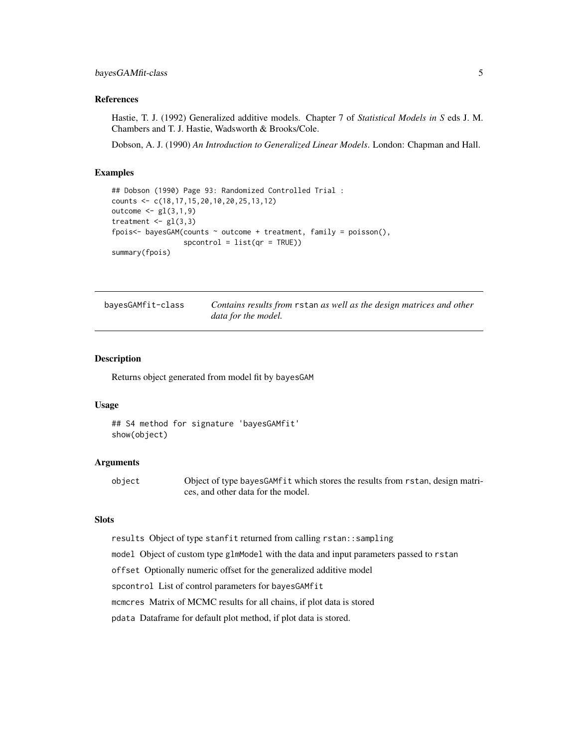#### <span id="page-4-0"></span>References

Hastie, T. J. (1992) Generalized additive models. Chapter 7 of *Statistical Models in S* eds J. M. Chambers and T. J. Hastie, Wadsworth & Brooks/Cole.

Dobson, A. J. (1990) *An Introduction to Generalized Linear Models*. London: Chapman and Hall.

#### Examples

```
## Dobson (1990) Page 93: Randomized Controlled Trial :
counts <- c(18,17,15,20,10,20,25,13,12)
outcome \leq gl(3,1,9)
treatment \leq gl(3,3)
fpois<- bayesGAM(counts \sim outcome + treatment, family = poisson(),
                 spcontrol = list(qr = TRUE)summary(fpois)
```

| bayesGAMfit-class | Contains results from rstan as well as the design matrices and other |
|-------------------|----------------------------------------------------------------------|
|                   | data for the model.                                                  |

#### Description

Returns object generated from model fit by bayesGAM

# Usage

```
## S4 method for signature 'bayesGAMfit'
show(object)
```
#### Arguments

object Object of type bayesGAMfit which stores the results from rstan, design matrices, and other data for the model.

# Slots

results Object of type stanfit returned from calling rstan::sampling

model Object of custom type glmModel with the data and input parameters passed to rstan

offset Optionally numeric offset for the generalized additive model

spcontrol List of control parameters for bayesGAMfit

mcmcres Matrix of MCMC results for all chains, if plot data is stored

pdata Dataframe for default plot method, if plot data is stored.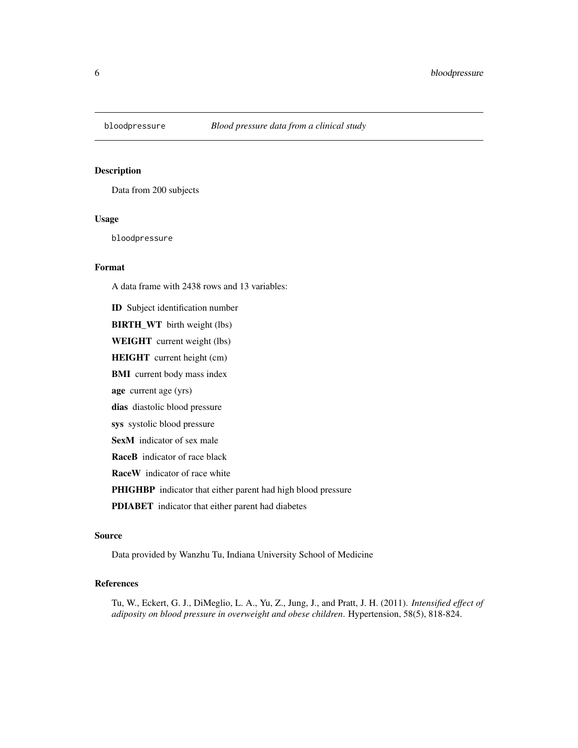<span id="page-5-0"></span>

Data from 200 subjects

#### Usage

bloodpressure

# Format

A data frame with 2438 rows and 13 variables:

ID Subject identification number

BIRTH\_WT birth weight (lbs)

WEIGHT current weight (lbs)

HEIGHT current height (cm)

BMI current body mass index

age current age (yrs)

dias diastolic blood pressure

sys systolic blood pressure

SexM indicator of sex male

RaceB indicator of race black

RaceW indicator of race white

PHIGHBP indicator that either parent had high blood pressure

PDIABET indicator that either parent had diabetes

#### Source

Data provided by Wanzhu Tu, Indiana University School of Medicine

# References

Tu, W., Eckert, G. J., DiMeglio, L. A., Yu, Z., Jung, J., and Pratt, J. H. (2011). *Intensified effect of adiposity on blood pressure in overweight and obese children*. Hypertension, 58(5), 818-824.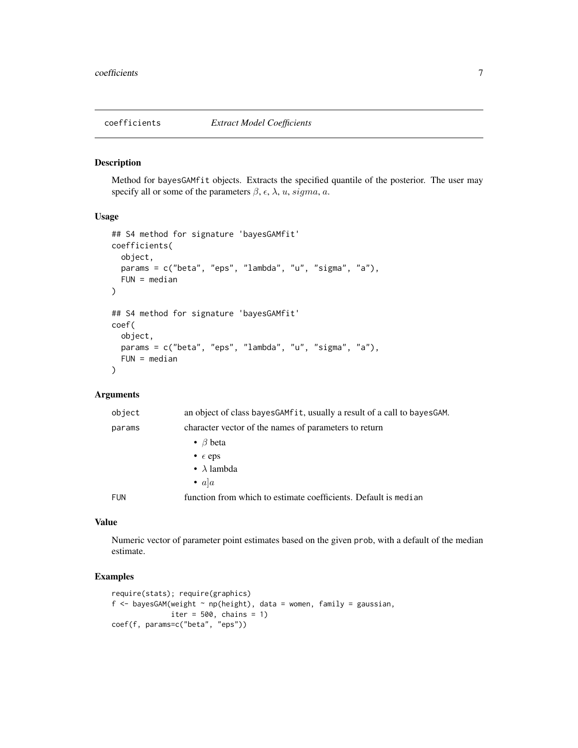<span id="page-6-0"></span>

Method for bayesGAMfit objects. Extracts the specified quantile of the posterior. The user may specify all or some of the parameters  $\beta$ ,  $\epsilon$ ,  $\lambda$ ,  $u$ ,  $sigma$ ,  $a$ .

#### Usage

```
## S4 method for signature 'bayesGAMfit'
coefficients(
 object,
 params = c("beta", "eps", "lambda", "u", "sigma", "a"),
 FUN = median)
## S4 method for signature 'bayesGAMfit'
coef(
 object,
 params = c("beta", "eps", "lambda", "u", "sigma", "a"),
 FUN = median)
```
# Arguments

| object     | an object of class bayes GAM fit, usually a result of a call to bayes GAM. |
|------------|----------------------------------------------------------------------------|
| params     | character vector of the names of parameters to return                      |
|            | • $\beta$ beta                                                             |
|            | • $\epsilon$ eps                                                           |
|            | • $\lambda$ lambda                                                         |
|            | • $a a$                                                                    |
| <b>FUN</b> | function from which to estimate coefficients. Default is median            |

# Value

Numeric vector of parameter point estimates based on the given prob, with a default of the median estimate.

```
require(stats); require(graphics)
f \leq bayesGAM(weight \sim np(height), data = women, family = gaussian,
              iter = 500, chains = 1)
coef(f, params=c("beta", "eps"))
```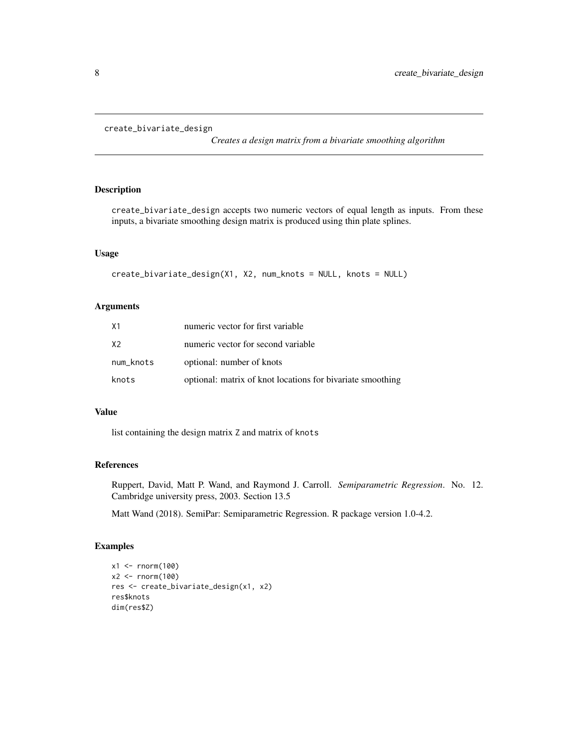```
create_bivariate_design
```
*Creates a design matrix from a bivariate smoothing algorithm*

# Description

create\_bivariate\_design accepts two numeric vectors of equal length as inputs. From these inputs, a bivariate smoothing design matrix is produced using thin plate splines.

# Usage

```
create_bivariate_design(X1, X2, num_knots = NULL, knots = NULL)
```
# Arguments

| Χ1        | numeric vector for first variable                          |
|-----------|------------------------------------------------------------|
| X2        | numeric vector for second variable                         |
| num_knots | optional: number of knots                                  |
| knots     | optional: matrix of knot locations for bivariate smoothing |

# Value

list containing the design matrix Z and matrix of knots

# References

Ruppert, David, Matt P. Wand, and Raymond J. Carroll. *Semiparametric Regression*. No. 12. Cambridge university press, 2003. Section 13.5

Matt Wand (2018). SemiPar: Semiparametric Regression. R package version 1.0-4.2.

```
x1 <- rnorm(100)
x2 < - rnorm(100)
res <- create_bivariate_design(x1, x2)
res$knots
dim(res$Z)
```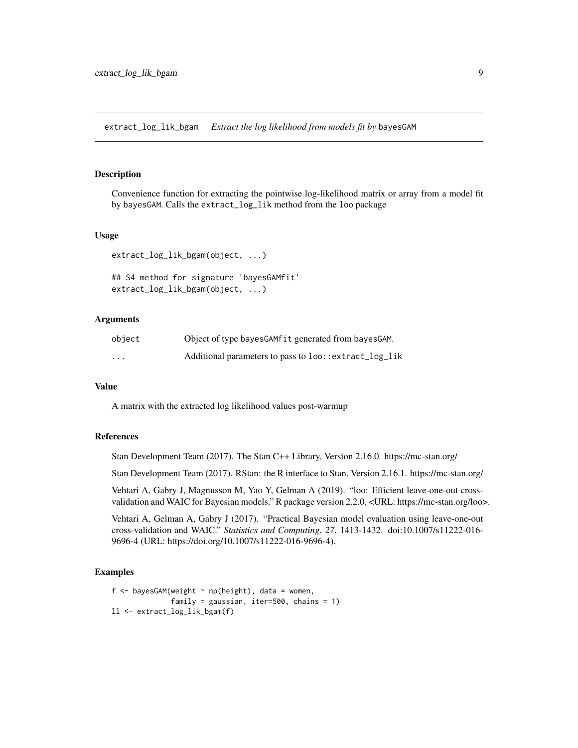<span id="page-8-0"></span>extract\_log\_lik\_bgam *Extract the log likelihood from models fit by* bayesGAM

#### Description

Convenience function for extracting the pointwise log-likelihood matrix or array from a model fit by bayesGAM. Calls the extract\_log\_lik method from the loo package

#### Usage

```
extract_log_lik_bgam(object, ...)
```

```
## S4 method for signature 'bayesGAMfit'
extract_log_lik_bgam(object, ...)
```
# Arguments

| object   | Object of type bayes GAM fit generated from bayes GAM. |
|----------|--------------------------------------------------------|
| $\cdots$ | Additional parameters to pass to loo::extract_log_lik  |

#### Value

A matrix with the extracted log likelihood values post-warmup

# References

Stan Development Team (2017). The Stan C++ Library, Version 2.16.0. https://mc-stan.org/

Stan Development Team (2017). RStan: the R interface to Stan, Version 2.16.1. https://mc-stan.org/

Vehtari A, Gabry J, Magnusson M, Yao Y, Gelman A (2019). "loo: Efficient leave-one-out crossvalidation and WAIC for Bayesian models." R package version 2.2.0, <URL: https://mc-stan.org/loo>.

Vehtari A, Gelman A, Gabry J (2017). "Practical Bayesian model evaluation using leave-one-out cross-validation and WAIC." *Statistics and Computing*, *27*, 1413-1432. doi:10.1007/s11222-016- 9696-4 (URL: https://doi.org/10.1007/s11222-016-9696-4).

```
f \leq bayesGAM(weight \sim np(height), data = women,
              family = gaussian, iter=500, chains = 1)
ll <- extract_log_lik_bgam(f)
```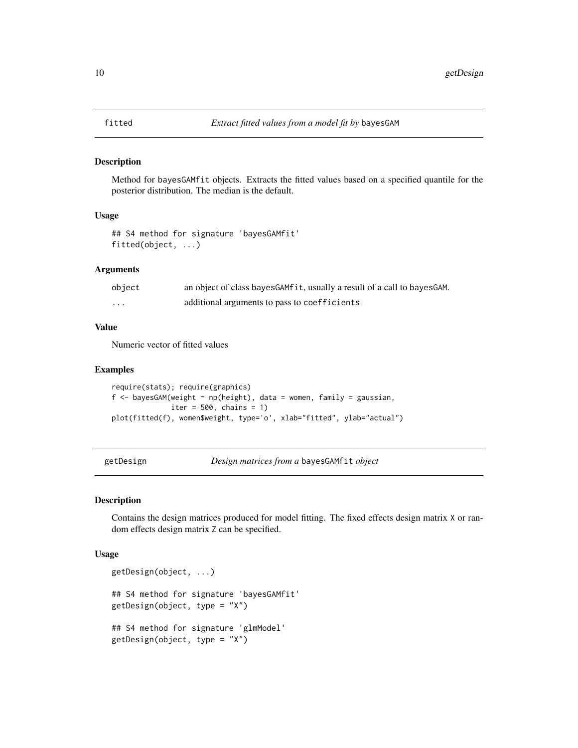<span id="page-9-0"></span>

Method for bayesGAMfit objects. Extracts the fitted values based on a specified quantile for the posterior distribution. The median is the default.

#### Usage

```
## S4 method for signature 'bayesGAMfit'
fitted(object, ...)
```
# Arguments

| object | an object of class bayesGAMfit, usually a result of a call to bayesGAM. |
|--------|-------------------------------------------------------------------------|
| .      | additional arguments to pass to coefficients                            |

# Value

Numeric vector of fitted values

# Examples

```
require(stats); require(graphics)
f <- bayesGAM(weight \sim np(height), data = women, family = gaussian,
              iter = 500, chains = 1)
plot(fitted(f), women$weight, type='o', xlab="fitted", ylab="actual")
```
getDesign *Design matrices from a* bayesGAMfit *object*

## Description

Contains the design matrices produced for model fitting. The fixed effects design matrix X or random effects design matrix Z can be specified.

#### Usage

```
getDesign(object, ...)
## S4 method for signature 'bayesGAMfit'
getDesign(object, type = "X")
## S4 method for signature 'glmModel'
getDesign(object, type = "X")
```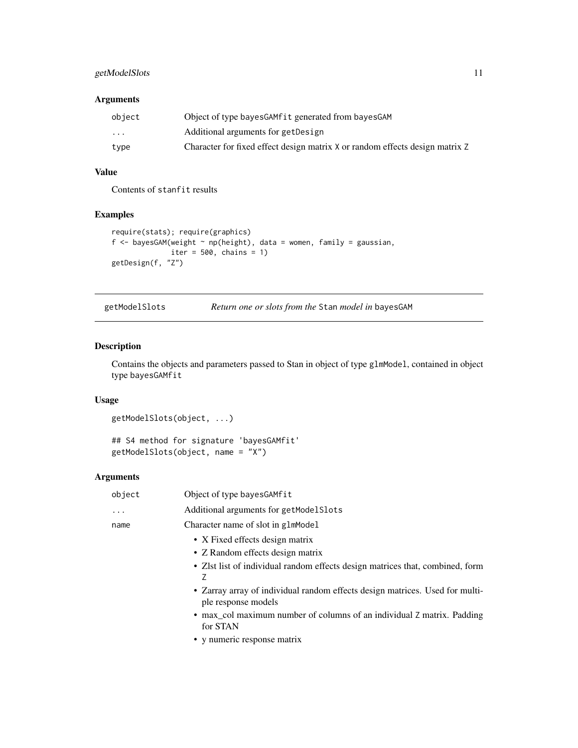# <span id="page-10-0"></span>getModelSlots 11

# Arguments

| object   | Object of type bayes GAM fit generated from bayes GAM                        |
|----------|------------------------------------------------------------------------------|
| $\cdots$ | Additional arguments for getDesign                                           |
| type     | Character for fixed effect design matrix X or random effects design matrix Z |

# Value

Contents of stanfit results

# Examples

```
require(stats); require(graphics)
f <- bayesGAM(weight \sim np(height), data = women, family = gaussian,
             iter = 500, chains = 1)
getDesign(f, "Z")
```

| getModelSlots |  |  | Return one or slots from the Stan model in bayesGAM |  |
|---------------|--|--|-----------------------------------------------------|--|
|---------------|--|--|-----------------------------------------------------|--|

# Description

Contains the objects and parameters passed to Stan in object of type glmModel, contained in object type bayesGAMfit

# Usage

```
getModelSlots(object, ...)
```
## S4 method for signature 'bayesGAMfit' getModelSlots(object, name = "X")

# Arguments

| object   | Object of type bayesGAMfit                                                                          |
|----------|-----------------------------------------------------------------------------------------------------|
| $\ddots$ | Additional arguments for getModelSlots                                                              |
| name     | Character name of slot in glmModel                                                                  |
|          | • X Fixed effects design matrix                                                                     |
|          | • Z Random effects design matrix                                                                    |
|          | • Zlst list of individual random effects design matrices that, combined, form<br>7                  |
|          | • Zarray array of individual random effects design matrices. Used for multi-<br>ple response models |
|          | • max_col maximum number of columns of an individual Z matrix. Padding<br>for STAN                  |
|          | • y numeric response matrix                                                                         |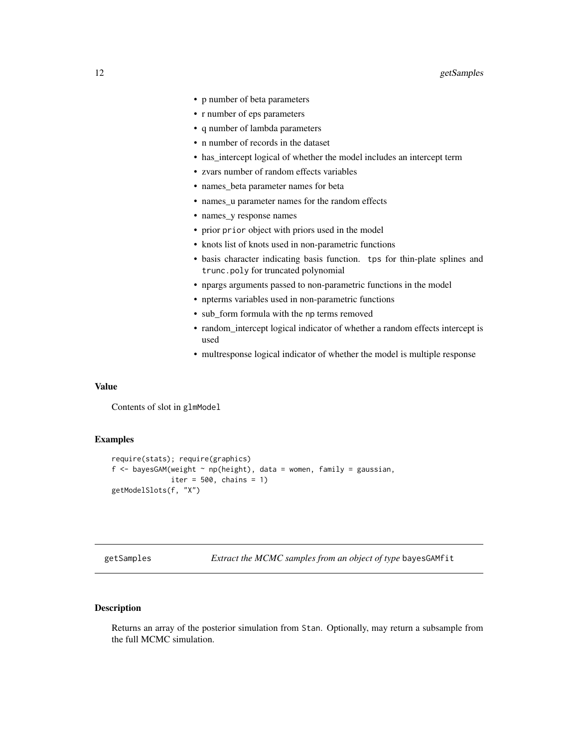- <span id="page-11-0"></span>• p number of beta parameters
- r number of eps parameters
- q number of lambda parameters
- n number of records in the dataset
- has intercept logical of whether the model includes an intercept term
- zvars number of random effects variables
- names\_beta parameter names for beta
- names\_u parameter names for the random effects
- names\_y response names
- prior prior object with priors used in the model
- knots list of knots used in non-parametric functions
- basis character indicating basis function. tps for thin-plate splines and trunc.poly for truncated polynomial
- npargs arguments passed to non-parametric functions in the model
- npterms variables used in non-parametric functions
- sub form formula with the np terms removed
- random intercept logical indicator of whether a random effects intercept is used
- multresponse logical indicator of whether the model is multiple response

#### Value

Contents of slot in glmModel

# Examples

```
require(stats); require(graphics)
f \leq bayesGAM(weight \sim np(height), data = women, family = gaussian,
              iter = 500, chains = 1)
getModelSlots(f, "X")
```
getSamples *Extract the MCMC samples from an object of type* bayesGAMfit

# Description

Returns an array of the posterior simulation from Stan. Optionally, may return a subsample from the full MCMC simulation.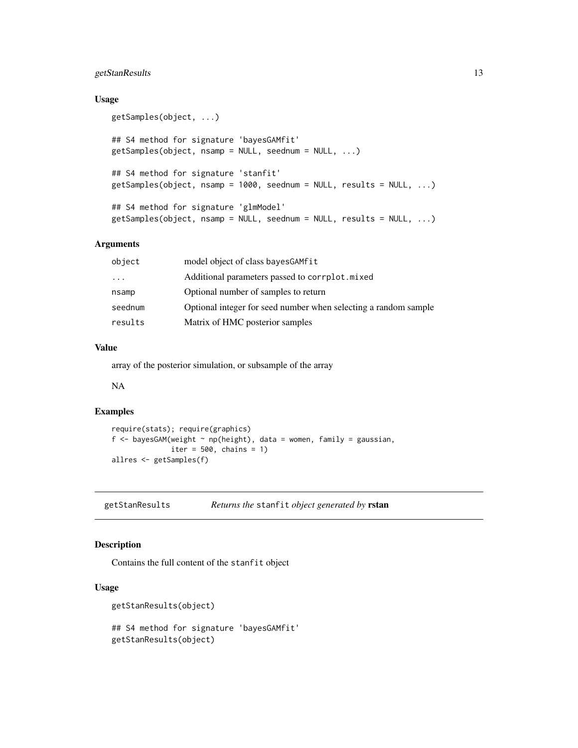# <span id="page-12-0"></span>getStanResults 13

# Usage

```
getSamples(object, ...)
## S4 method for signature 'bayesGAMfit'
getSamples(object, nsamp = NULL, seednum = NULL, ...)
## S4 method for signature 'stanfit'
getSamples(object, nsamp = 1000, seednum = NULL, results = NULL, ...)
## S4 method for signature 'glmModel'
getSamples(object, nsamp = NULL, seednum = NULL, results = NULL, ...)
```
# Arguments

| object    | model object of class bayes GAM fit                             |
|-----------|-----------------------------------------------------------------|
| $\ddotsc$ | Additional parameters passed to corrplot.mixed                  |
| nsamp     | Optional number of samples to return                            |
| seednum   | Optional integer for seed number when selecting a random sample |
| results   | Matrix of HMC posterior samples                                 |

# Value

array of the posterior simulation, or subsample of the array

NA

#### Examples

```
require(stats); require(graphics)
f <- bayesGAM(weight \sim np(height), data = women, family = gaussian,
              iter = 500, chains = 1)
allres <- getSamples(f)
```
getStanResults *Returns the* stanfit *object generated by* rstan

# Description

Contains the full content of the stanfit object

# Usage

```
getStanResults(object)
## S4 method for signature 'bayesGAMfit'
getStanResults(object)
```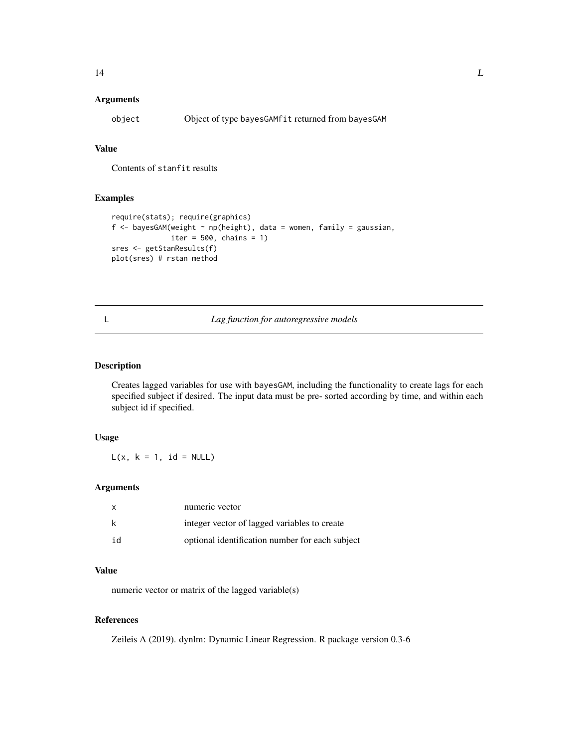# <span id="page-13-0"></span>Arguments

object Object of type bayesGAMfit returned from bayesGAM

# Value

Contents of stanfit results

# Examples

```
require(stats); require(graphics)
f <- bayesGAM(weight \sim np(height), data = women, family = gaussian,
             iter = 500, chains = 1)
sres <- getStanResults(f)
plot(sres) # rstan method
```
#### L *Lag function for autoregressive models*

# Description

Creates lagged variables for use with bayesGAM, including the functionality to create lags for each specified subject if desired. The input data must be pre- sorted according by time, and within each subject id if specified.

# Usage

 $L(x, k = 1, id = NULL)$ 

#### Arguments

| X  | numeric vector                                  |
|----|-------------------------------------------------|
| k  | integer vector of lagged variables to create    |
| id | optional identification number for each subject |

# Value

numeric vector or matrix of the lagged variable(s)

# References

Zeileis A (2019). dynlm: Dynamic Linear Regression. R package version 0.3-6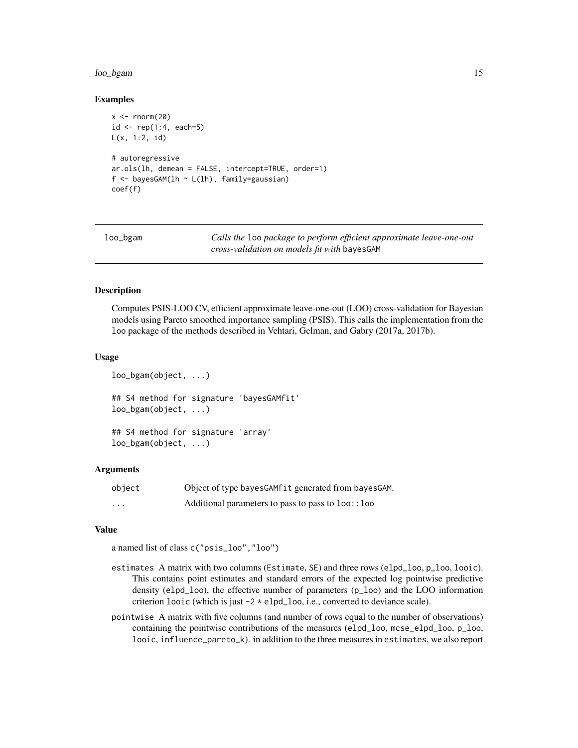#### <span id="page-14-0"></span>loo\_bgam 15

#### Examples

```
x < - rnorm(20)id \leftarrow rep(1:4, each=5)L(x, 1:2, id)
# autoregressive
ar.ols(lh, demean = FALSE, intercept=TRUE, order=1)
f \leftarrow bayesGAM(lh ~ L(lh), family=gaussian)
coef(f)
```

| loo_bgam | Calls the loo package to perform efficient approximate leave-one-out |
|----------|----------------------------------------------------------------------|
|          | <i>cross-validation on models fit with</i> bayesGAM                  |

# Description

Computes PSIS-LOO CV, efficient approximate leave-one-out (LOO) cross-validation for Bayesian models using Pareto smoothed importance sampling (PSIS). This calls the implementation from the loo package of the methods described in Vehtari, Gelman, and Gabry (2017a, 2017b).

# Usage

```
loo_bgam(object, ...)
## S4 method for signature 'bayesGAMfit'
loo_bgam(object, ...)
## S4 method for signature 'array'
loo_bgam(object, ...)
```
#### Arguments

| object | Object of type bayes GAM fit generated from bayes GAM. |
|--------|--------------------------------------------------------|
| .      | Additional parameters to pass to pass to loo:: loo     |

# Value

a named list of class c("psis\_loo","loo")

- estimates A matrix with two columns (Estimate, SE) and three rows (elpd\_loo, p\_loo, looic). This contains point estimates and standard errors of the expected log pointwise predictive density (elpd\_loo), the effective number of parameters (p\_loo) and the LOO information criterion looic (which is just  $-2 \times$  elpd\_loo, i.e., converted to deviance scale).
- pointwise A matrix with five columns (and number of rows equal to the number of observations) containing the pointwise contributions of the measures (elpd\_loo, mcse\_elpd\_loo, p\_loo, looic, influence\_pareto\_k). in addition to the three measures in estimates, we also report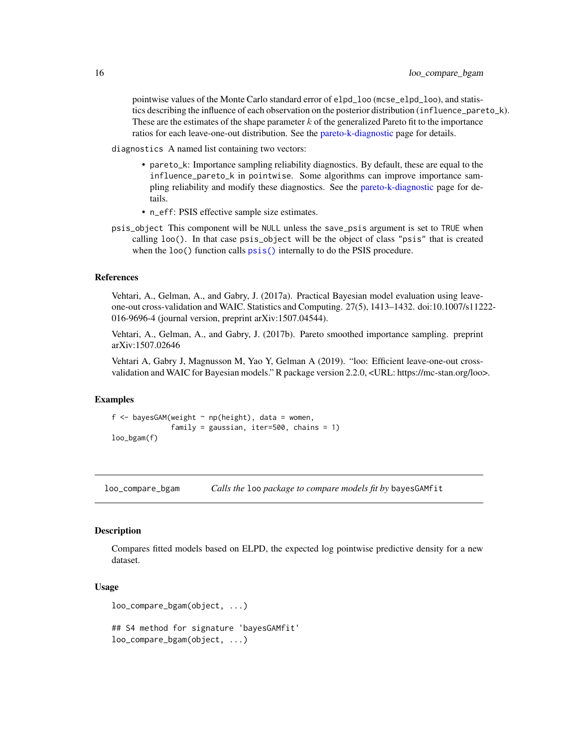<span id="page-15-0"></span>pointwise values of the Monte Carlo standard error of elpd\_loo (mcse\_elpd\_loo), and statistics describing the influence of each observation on the posterior distribution (influence\_pareto\_k). These are the estimates of the shape parameter  $k$  of the generalized Pareto fit to the importance ratios for each leave-one-out distribution. See the [pareto-k-diagnostic](#page-0-0) page for details.

diagnostics A named list containing two vectors:

- pareto\_k: Importance sampling reliability diagnostics. By default, these are equal to the influence\_pareto\_k in pointwise. Some algorithms can improve importance sampling reliability and modify these diagnostics. See the [pareto-k-diagnostic](#page-0-0) page for details.
- n\_eff: PSIS effective sample size estimates.
- psis\_object This component will be NULL unless the save\_psis argument is set to TRUE when calling loo(). In that case psis\_object will be the object of class "psis" that is created when the loo() function calls  $\overline{psis}$  () internally to do the PSIS procedure.

#### References

Vehtari, A., Gelman, A., and Gabry, J. (2017a). Practical Bayesian model evaluation using leaveone-out cross-validation and WAIC. Statistics and Computing. 27(5), 1413–1432. doi:10.1007/s11222- 016-9696-4 (journal version, preprint arXiv:1507.04544).

Vehtari, A., Gelman, A., and Gabry, J. (2017b). Pareto smoothed importance sampling. preprint arXiv:1507.02646

Vehtari A, Gabry J, Magnusson M, Yao Y, Gelman A (2019). "loo: Efficient leave-one-out crossvalidation and WAIC for Bayesian models." R package version 2.2.0, <URL: https://mc-stan.org/loo>.

#### Examples

f  $\leq$  bayesGAM(weight  $\sim$  np(height), data = women, family = gaussian, iter=500, chains =  $1$ ) loo\_bgam(f)

loo\_compare\_bgam *Calls the* loo *package to compare models fit by* bayesGAMfit

#### Description

Compares fitted models based on ELPD, the expected log pointwise predictive density for a new dataset.

#### Usage

```
loo_compare_bgam(object, ...)
```
## S4 method for signature 'bayesGAMfit' loo\_compare\_bgam(object, ...)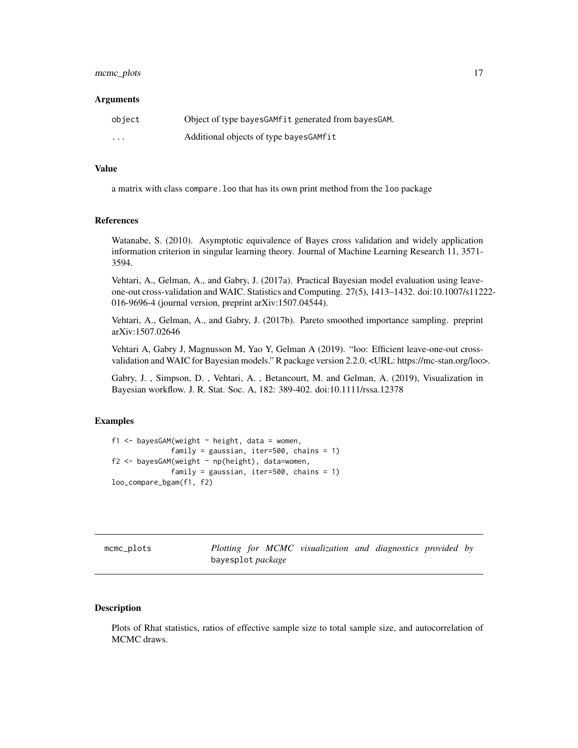# <span id="page-16-0"></span>mcmc\_plots 17

#### **Arguments**

| object   | Object of type bayes GAM fit generated from bayes GAM. |
|----------|--------------------------------------------------------|
| $\cdots$ | Additional objects of type bayes GAMfit                |

# Value

a matrix with class compare.loo that has its own print method from the loo package

# References

Watanabe, S. (2010). Asymptotic equivalence of Bayes cross validation and widely application information criterion in singular learning theory. Journal of Machine Learning Research 11, 3571- 3594.

Vehtari, A., Gelman, A., and Gabry, J. (2017a). Practical Bayesian model evaluation using leaveone-out cross-validation and WAIC. Statistics and Computing. 27(5), 1413–1432. doi:10.1007/s11222- 016-9696-4 (journal version, preprint arXiv:1507.04544).

Vehtari, A., Gelman, A., and Gabry, J. (2017b). Pareto smoothed importance sampling. preprint arXiv:1507.02646

Vehtari A, Gabry J, Magnusson M, Yao Y, Gelman A (2019). "loo: Efficient leave-one-out crossvalidation and WAIC for Bayesian models." R package version 2.2.0, <URL: https://mc-stan.org/loo>.

Gabry, J. , Simpson, D. , Vehtari, A. , Betancourt, M. and Gelman, A. (2019), Visualization in Bayesian workflow. J. R. Stat. Soc. A, 182: 389-402. doi:10.1111/rssa.12378

# Examples

```
f1 <- bayesGAM(weight \sim height, data = women,
              family = gaussian, iter=500, chains = 1)
f2 <- bayesGAM(weight ~ np(height), data=women,
              family = gaussian, iter=500, chains = 1)
loo_compare_bgam(f1, f2)
```
<span id="page-16-1"></span>mcmc\_plots *Plotting for MCMC visualization and diagnostics provided by* bayesplot *package*

# **Description**

Plots of Rhat statistics, ratios of effective sample size to total sample size, and autocorrelation of MCMC draws.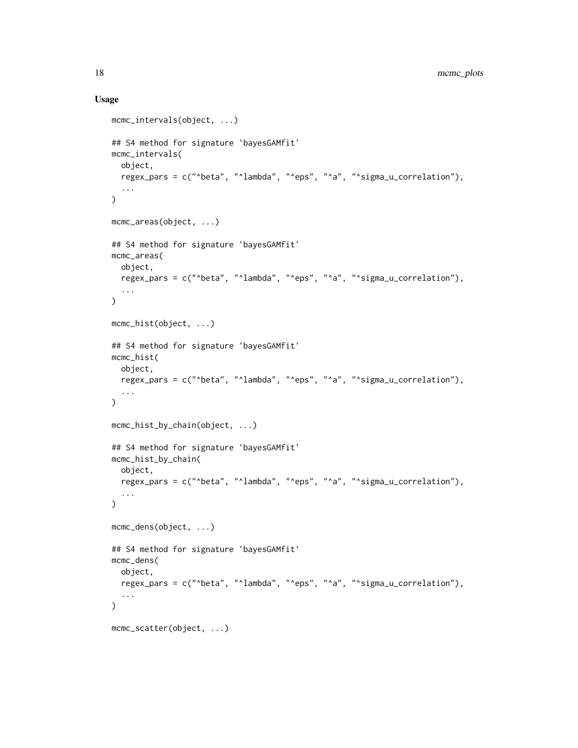# Usage

```
mcmc_intervals(object, ...)
## S4 method for signature 'bayesGAMfit'
mcmc_intervals(
 object,
 regex_pars = c("^beta", "^lambda", "^eps", "^a", "^sigma_u_correlation"),
  ...
\lambdamcmc_areas(object, ...)
## S4 method for signature 'bayesGAMfit'
mcmc_areas(
 object,
 regex_pars = c("^beta", "^lambda", "^eps", "^a", "^sigma_u_correlation"),
  ...
\mathcal{L}mcmc_hist(object, ...)
## S4 method for signature 'bayesGAMfit'
mcmc_hist(
 object,
 regex_pars = c("^beta", "^lambda", "^eps", "^a", "^sigma_u_correlation"),
  ...
\mathcal{L}mcmc_hist_by_chain(object, ...)
## S4 method for signature 'bayesGAMfit'
mcmc_hist_by_chain(
 object,
 regex_pars = c("^beta", "^lambda", "^eps", "^a", "^sigma_u_correlation"),
  ...
\mathcal{L}mcmc_dens(object, ...)
## S4 method for signature 'bayesGAMfit'
mcmc_dens(
 object,
 regex_pars = c("^beta", "^lambda", "^eps", "^a", "^sigma_u_correlation"),
  ...
\lambdamcmc_scatter(object, ...)
```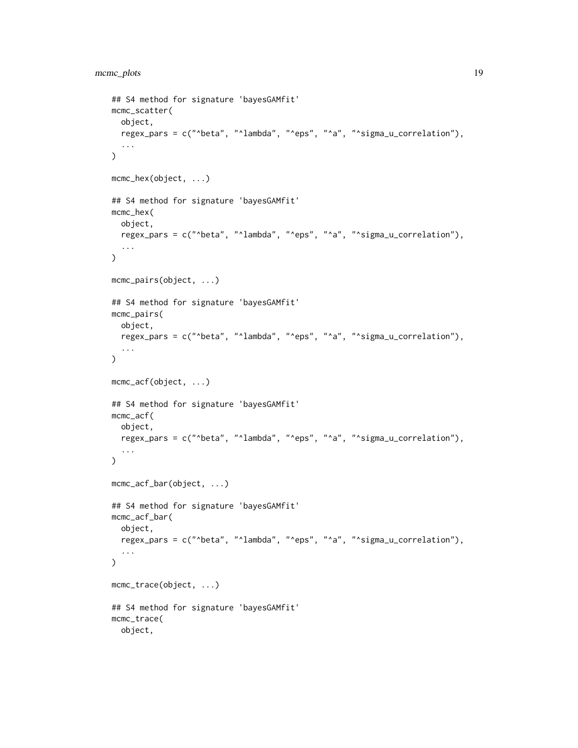```
## S4 method for signature 'bayesGAMfit'
mcmc_scatter(
  object,
  regex_pars = c("^beta", "^lambda", "^eps", "^a", "^sigma_u_correlation"),
  ...
\mathcal{L}mcmc_hex(object, ...)
## S4 method for signature 'bayesGAMfit'
mcmc_hex(
  object,
  regex_pars = c("^beta", "^lambda", "^eps", "^a", "^sigma_u_correlation"),
  ...
\mathcal{L}mcmc_pairs(object, ...)
## S4 method for signature 'bayesGAMfit'
mcmc_pairs(
  object,
  regex_pars = c("^beta", "^lambda", "^eps", "^a", "^sigma_u_correlation"),
  ...
\mathcal{L}mcmc_acf(object, ...)
## S4 method for signature 'bayesGAMfit'
mcmc_acf(
  object,
  regex_pars = c("^beta", "^lambda", "^eps", "^a", "^sigma_u_correlation"),
  ...
\mathcal{L}mcmc_acf_bar(object, ...)
## S4 method for signature 'bayesGAMfit'
mcmc_acf_bar(
  object,
  regex_pars = c("^beta", "^lambda", "^eps", "^a", "^sigma_u_correlation"),
  ...
\mathcal{L}mcmc_trace(object, ...)
## S4 method for signature 'bayesGAMfit'
mcmc_trace(
  object,
```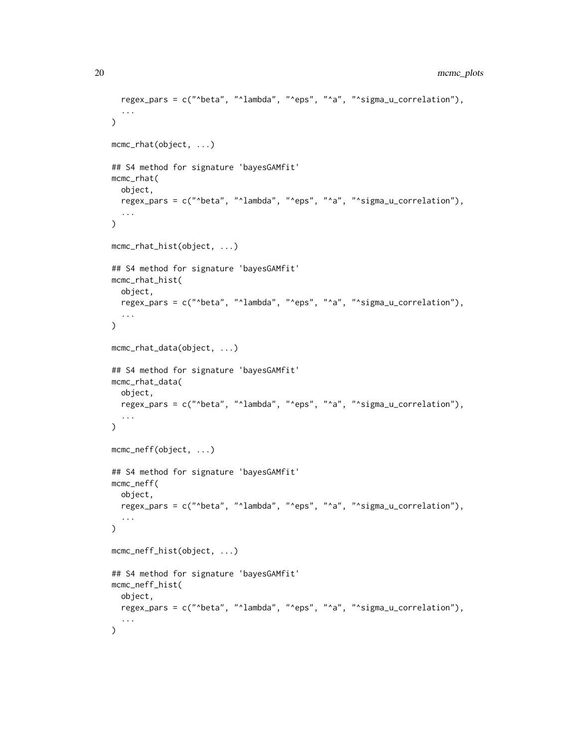```
regex_pars = c("^beta", "^lambda", "^eps", "^a", "^sigma_u_correlation"),
  ...
\lambdamcmc_rhat(object, ...)
## S4 method for signature 'bayesGAMfit'
mcmc_rhat(
 object,
 regex_pars = c("^beta", "^lambda", "^eps", "^a", "^sigma_u_correlation"),
  ...
\mathcal{L}mcmc_rhat_hist(object, ...)
## S4 method for signature 'bayesGAMfit'
mcmc_rhat_hist(
 object,
 regex_pars = c("^beta", "^lambda", "^eps", "^a", "^sigma_u_correlation"),
 ...
\mathcal{L}mcmc_rhat_data(object, ...)
## S4 method for signature 'bayesGAMfit'
mcmc_rhat_data(
 object,
 regex_pars = c("^beta", "^lambda", "^eps", "^a", "^sigma_u_correlation"),
  ...
\mathcal{L}mcmc_neff(object, ...)
## S4 method for signature 'bayesGAMfit'
mcmc_neff(
 object,
 regex_pars = c("^beta", "^lambda", "^eps", "^a", "^sigma_u_correlation"),
  ...
\mathcal{L}mcmc_neff_hist(object, ...)
## S4 method for signature 'bayesGAMfit'
mcmc_neff_hist(
 object,
 regex_pars = c("^beta", "^lambda", "^eps", "^a", "^sigma_u_correlation"),
  ...
\mathcal{L}
```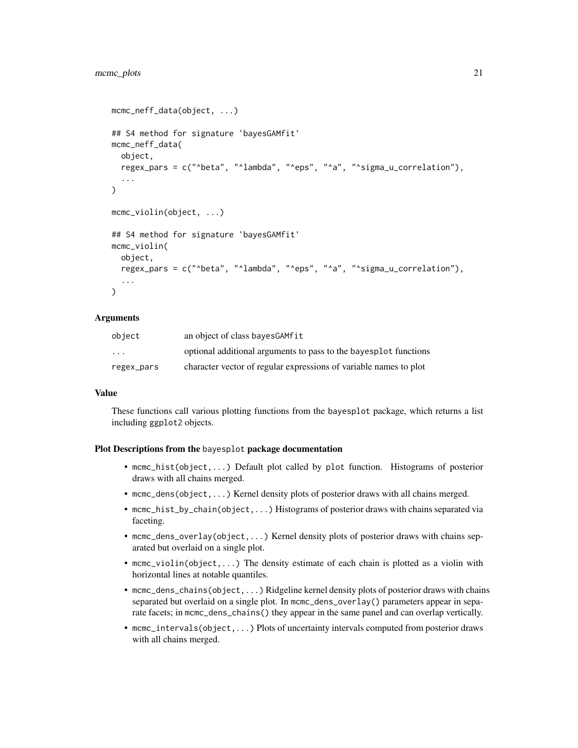```
mcmc_neff_data(object, ...)
## S4 method for signature 'bayesGAMfit'
mcmc_neff_data(
 object,
  regex_pars = c("^beta", "^lambda", "^eps", "^a", "^sigma_u_correlation"),
  ...
\lambdamcmc_violin(object, ...)
## S4 method for signature 'bayesGAMfit'
mcmc_violin(
 object,
 regex_pars = c("^beta", "^lambda", "^eps", "^a", "^sigma_u_correlation"),
  ...
)
```
## Arguments

| object            | an object of class bayes GAM fit                                  |
|-------------------|-------------------------------------------------------------------|
| $\cdot\cdot\cdot$ | optional additional arguments to pass to the bayesplot functions  |
| regex_pars        | character vector of regular expressions of variable names to plot |

#### Value

These functions call various plotting functions from the bayesplot package, which returns a list including ggplot2 objects.

#### Plot Descriptions from the bayesplot package documentation

- mcmc\_hist(object,...) Default plot called by plot function. Histograms of posterior draws with all chains merged.
- mcmc\_dens(object,...) Kernel density plots of posterior draws with all chains merged.
- mcmc\_hist\_by\_chain(object,...) Histograms of posterior draws with chains separated via faceting.
- mcmc\_dens\_overlay(object,...) Kernel density plots of posterior draws with chains separated but overlaid on a single plot.
- mcmc\_violin(object,...) The density estimate of each chain is plotted as a violin with horizontal lines at notable quantiles.
- mcmc\_dens\_chains(object,...) Ridgeline kernel density plots of posterior draws with chains separated but overlaid on a single plot. In mcmc\_dens\_overlay() parameters appear in separate facets; in mcmc\_dens\_chains() they appear in the same panel and can overlap vertically.
- mcmc\_intervals(object,...) Plots of uncertainty intervals computed from posterior draws with all chains merged.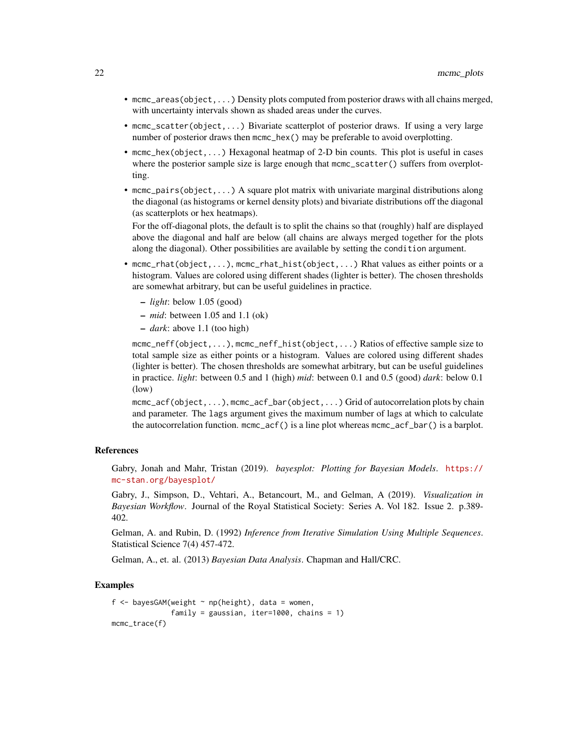- mcmc\_areas(object,...) Density plots computed from posterior draws with all chains merged, with uncertainty intervals shown as shaded areas under the curves.
- mcmc\_scatter(object,...) Bivariate scatterplot of posterior draws. If using a very large number of posterior draws then mcmc\_hex() may be preferable to avoid overplotting.
- mcmc\_hex(object,...) Hexagonal heatmap of 2-D bin counts. This plot is useful in cases where the posterior sample size is large enough that mcmc\_scatter() suffers from overplotting.
- mcmc\_pairs(object,...) A square plot matrix with univariate marginal distributions along the diagonal (as histograms or kernel density plots) and bivariate distributions off the diagonal (as scatterplots or hex heatmaps).

For the off-diagonal plots, the default is to split the chains so that (roughly) half are displayed above the diagonal and half are below (all chains are always merged together for the plots along the diagonal). Other possibilities are available by setting the condition argument.

- mcmc\_rhat(object,...), mcmc\_rhat\_hist(object,...) Rhat values as either points or a histogram. Values are colored using different shades (lighter is better). The chosen thresholds are somewhat arbitrary, but can be useful guidelines in practice.
	- *light*: below 1.05 (good)
	- *mid*: between 1.05 and 1.1 (ok)
	- *dark*: above 1.1 (too high)

mcmc\_neff(object,...), mcmc\_neff\_hist(object,...) Ratios of effective sample size to total sample size as either points or a histogram. Values are colored using different shades (lighter is better). The chosen thresholds are somewhat arbitrary, but can be useful guidelines in practice. *light*: between 0.5 and 1 (high) *mid*: between 0.1 and 0.5 (good) *dark*: below 0.1 (low)

mcmc\_acf(object,...), mcmc\_acf\_bar(object,...) Grid of autocorrelation plots by chain and parameter. The lags argument gives the maximum number of lags at which to calculate the autocorrelation function.  $mcm \_acf()$  is a line plot whereas  $mcm \_acf \_bar()$  is a barplot.

#### References

Gabry, Jonah and Mahr, Tristan (2019). *bayesplot: Plotting for Bayesian Models*. [https://](https://mc-stan.org/bayesplot/) [mc-stan.org/bayesplot/](https://mc-stan.org/bayesplot/)

Gabry, J., Simpson, D., Vehtari, A., Betancourt, M., and Gelman, A (2019). *Visualization in Bayesian Workflow*. Journal of the Royal Statistical Society: Series A. Vol 182. Issue 2. p.389- 402.

Gelman, A. and Rubin, D. (1992) *Inference from Iterative Simulation Using Multiple Sequences*. Statistical Science 7(4) 457-472.

Gelman, A., et. al. (2013) *Bayesian Data Analysis*. Chapman and Hall/CRC.

```
f \le - bayesGAM(weight \sim np(height), data = women,
               family = gaussian, iter=1000, chains = 1)
mcmc_trace(f)
```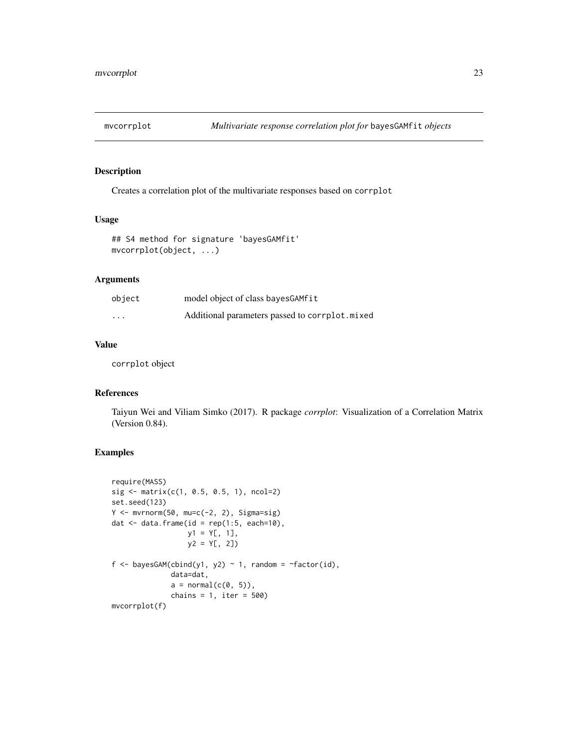<span id="page-22-0"></span>

Creates a correlation plot of the multivariate responses based on corrplot

# Usage

```
## S4 method for signature 'bayesGAMfit'
mvcorrplot(object, ...)
```
# Arguments

| object                  | model object of class bayes GAM fit            |
|-------------------------|------------------------------------------------|
| $\cdot$ $\cdot$ $\cdot$ | Additional parameters passed to corrplot.mixed |

# Value

corrplot object

# References

Taiyun Wei and Viliam Simko (2017). R package *corrplot*: Visualization of a Correlation Matrix (Version 0.84).

```
require(MASS)
sig \leftarrow matrix(c(1, 0.5, 0.5, 1), ncol=2)set.seed(123)
Y \leftarrow mvrnorm(50, mu=c(-2, 2), Signa=sig)dat \leq data.frame(id = rep(1:5, each=10),
                    y1 = Y[, 1],
                    y2 = Y[, 2])
f <- bayesGAM(cbind(y1, y2) \sim 1, random = \simfactor(id),
               data=dat,
               a = normal(c(0, 5)),chains = 1, iter = 500)
mvcorrplot(f)
```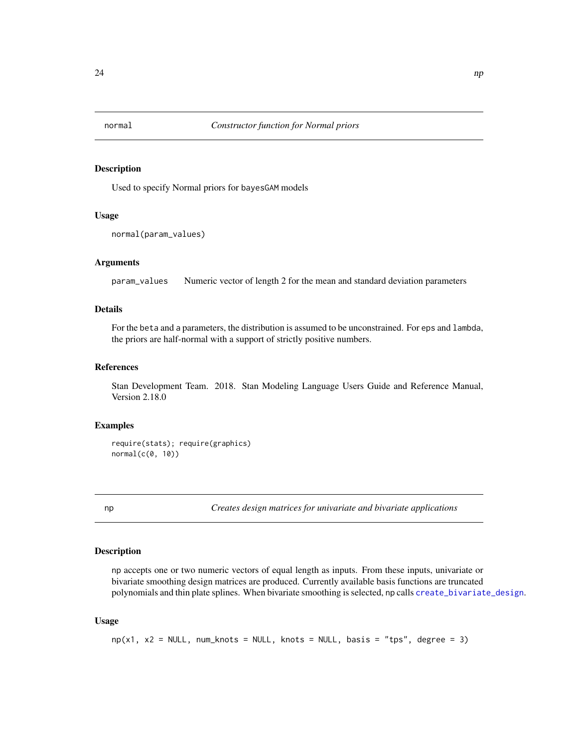<span id="page-23-0"></span>

Used to specify Normal priors for bayesGAM models

#### Usage

```
normal(param_values)
```
# Arguments

param\_values Numeric vector of length 2 for the mean and standard deviation parameters

#### Details

For the beta and a parameters, the distribution is assumed to be unconstrained. For eps and lambda, the priors are half-normal with a support of strictly positive numbers.

# References

Stan Development Team. 2018. Stan Modeling Language Users Guide and Reference Manual, Version 2.18.0

# Examples

```
require(stats); require(graphics)
normal(c(0, 10))
```
np *Creates design matrices for univariate and bivariate applications*

#### Description

np accepts one or two numeric vectors of equal length as inputs. From these inputs, univariate or bivariate smoothing design matrices are produced. Currently available basis functions are truncated polynomials and thin plate splines. When bivariate smoothing is selected, np calls [create\\_bivariate\\_design](#page-7-1).

#### Usage

```
np(x1, x2 = NULL, num_knots = NULL, knots = NULL, basis = "tps", degree = 3)
```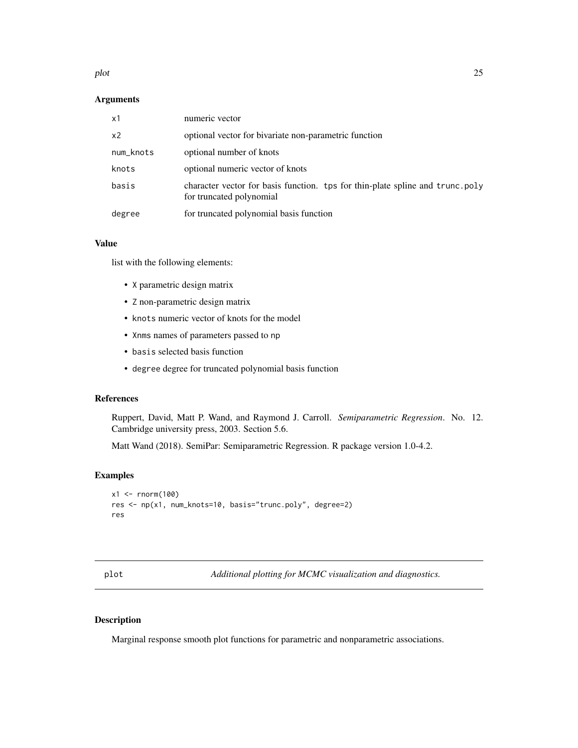#### <span id="page-24-0"></span>plot the contract of the contract of the contract of the contract of the contract of the contract of the contract of the contract of the contract of the contract of the contract of the contract of the contract of the contr

# Arguments

| x1             | numeric vector                                                                                            |
|----------------|-----------------------------------------------------------------------------------------------------------|
| x <sub>2</sub> | optional vector for bivariate non-parametric function                                                     |
| num_knots      | optional number of knots                                                                                  |
| knots          | optional numeric vector of knots                                                                          |
| basis          | character vector for basis function. tps for thin-plate spline and trunc.poly<br>for truncated polynomial |
| degree         | for truncated polynomial basis function                                                                   |

# Value

list with the following elements:

- X parametric design matrix
- Z non-parametric design matrix
- knots numeric vector of knots for the model
- Xnms names of parameters passed to np
- basis selected basis function
- degree degree for truncated polynomial basis function

#### References

Ruppert, David, Matt P. Wand, and Raymond J. Carroll. *Semiparametric Regression*. No. 12. Cambridge university press, 2003. Section 5.6.

Matt Wand (2018). SemiPar: Semiparametric Regression. R package version 1.0-4.2.

#### Examples

```
x1 <- rnorm(100)
res <- np(x1, num_knots=10, basis="trunc.poly", degree=2)
res
```
plot *Additional plotting for MCMC visualization and diagnostics.*

#### Description

Marginal response smooth plot functions for parametric and nonparametric associations.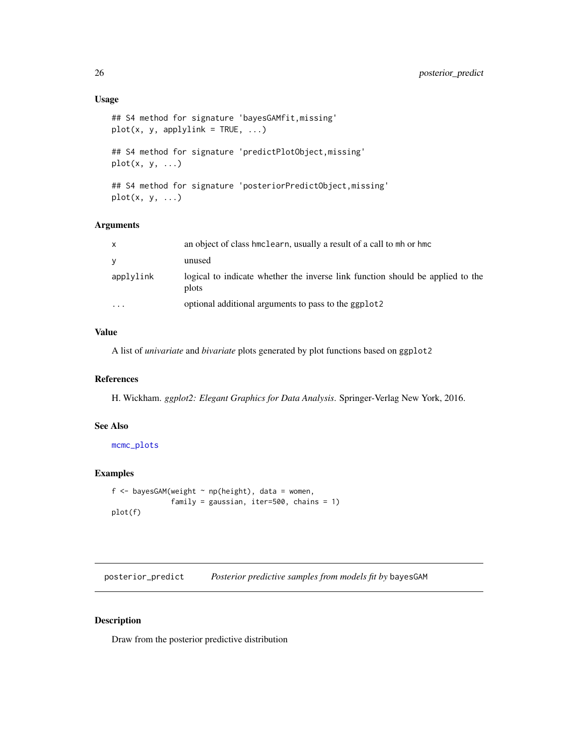```
## S4 method for signature 'bayesGAMfit,missing'
plot(x, y, applylink = TRUE, ...)## S4 method for signature 'predictPlotObject,missing'
plot(x, y, ...)
```
## S4 method for signature 'posteriorPredictObject,missing'  $plot(x, y, ...)$ 

# Arguments

| $\mathsf{x}$            | an object of class hmclearn, usually a result of a call to mh or hmc                    |
|-------------------------|-----------------------------------------------------------------------------------------|
| <b>V</b>                | unused                                                                                  |
| applylink               | logical to indicate whether the inverse link function should be applied to the<br>plots |
| $\cdot$ $\cdot$ $\cdot$ | optional additional arguments to pass to the ggplot2                                    |

# Value

A list of *univariate* and *bivariate* plots generated by plot functions based on ggplot2

# References

H. Wickham. *ggplot2: Elegant Graphics for Data Analysis*. Springer-Verlag New York, 2016.

# See Also

[mcmc\\_plots](#page-16-1)

# Examples

```
f <- bayesGAM(weight \sim np(height), data = women,
              family = gaussian, iter=500, chains = 1)
plot(f)
```
posterior\_predict *Posterior predictive samples from models fit by* bayesGAM

# Description

Draw from the posterior predictive distribution

<span id="page-25-0"></span>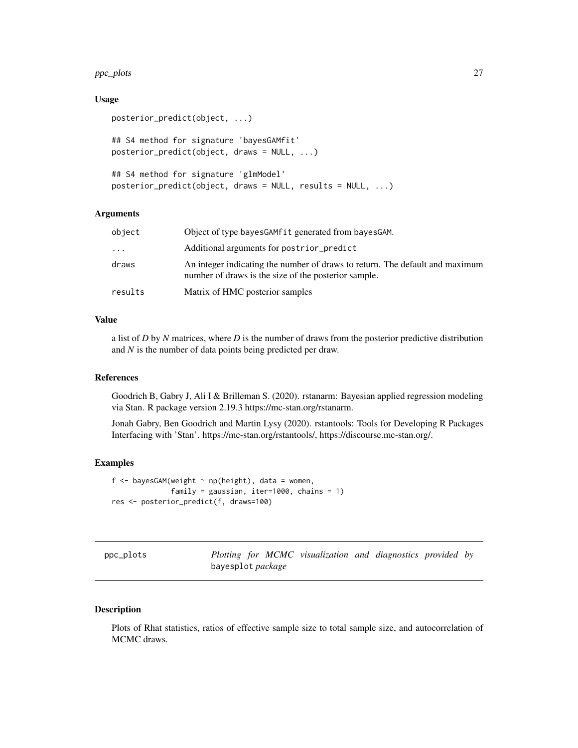#### <span id="page-26-0"></span> $ppc_p$ lots  $27$

#### Usage

```
posterior_predict(object, ...)
## S4 method for signature 'bayesGAMfit'
posterior_predict(object, draws = NULL, ...)
## S4 method for signature 'glmModel'
posterior_predict(object, draws = NULL, results = NULL, ...)
```
# Arguments

| object  | Object of type bayesGAMfit generated from bayesGAM.                                                                                  |
|---------|--------------------------------------------------------------------------------------------------------------------------------------|
| .       | Additional arguments for postrior_predict                                                                                            |
| draws   | An integer indicating the number of draws to return. The default and maximum<br>number of draws is the size of the posterior sample. |
| results | Matrix of HMC posterior samples                                                                                                      |

# Value

a list of *D* by *N* matrices, where *D* is the number of draws from the posterior predictive distribution and *N* is the number of data points being predicted per draw.

#### References

Goodrich B, Gabry J, Ali I & Brilleman S. (2020). rstanarm: Bayesian applied regression modeling via Stan. R package version 2.19.3 https://mc-stan.org/rstanarm.

Jonah Gabry, Ben Goodrich and Martin Lysy (2020). rstantools: Tools for Developing R Packages Interfacing with 'Stan'. https://mc-stan.org/rstantools/, https://discourse.mc-stan.org/.

#### Examples

```
f \leq bayesGAM(weight \sim np(height), data = women,
              family = gaussian, iter=1000, chains = 1)
res <- posterior_predict(f, draws=100)
```

| ppc_plots |  |
|-----------|--|

Plotting for MCMC visualization and diagnostics provided by bayesplot *package*

#### Description

Plots of Rhat statistics, ratios of effective sample size to total sample size, and autocorrelation of MCMC draws.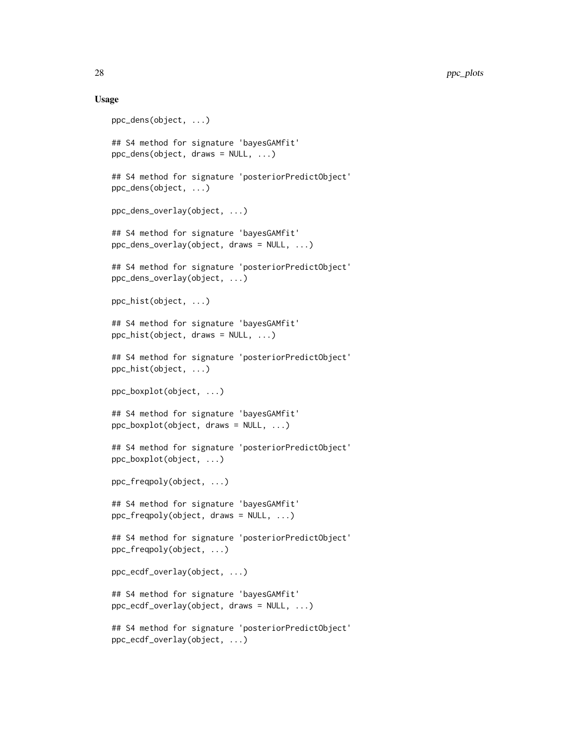#### Usage

```
ppc_dens(object, ...)
## S4 method for signature 'bayesGAMfit'
ppc_dens(object, draws = NULL, ...)
## S4 method for signature 'posteriorPredictObject'
ppc_dens(object, ...)
ppc_dens_overlay(object, ...)
## S4 method for signature 'bayesGAMfit'
ppc_dens_overlay(object, draws = NULL, ...)
## S4 method for signature 'posteriorPredictObject'
ppc_dens_overlay(object, ...)
ppc_hist(object, ...)
## S4 method for signature 'bayesGAMfit'
ppc_hist(object, draws = NULL, ...)
## S4 method for signature 'posteriorPredictObject'
ppc_hist(object, ...)
ppc_boxplot(object, ...)
## S4 method for signature 'bayesGAMfit'
ppc_boxplot(object, draws = NULL, ...)
## S4 method for signature 'posteriorPredictObject'
ppc_boxplot(object, ...)
ppc_freqpoly(object, ...)
## S4 method for signature 'bayesGAMfit'
ppc_freqpoly(object, draws = NULL, ...)
## S4 method for signature 'posteriorPredictObject'
ppc_freqpoly(object, ...)
ppc_ecdf_overlay(object, ...)
## S4 method for signature 'bayesGAMfit'
ppc_ecdf_overlay(object, draws = NULL, ...)
## S4 method for signature 'posteriorPredictObject'
ppc_ecdf_overlay(object, ...)
```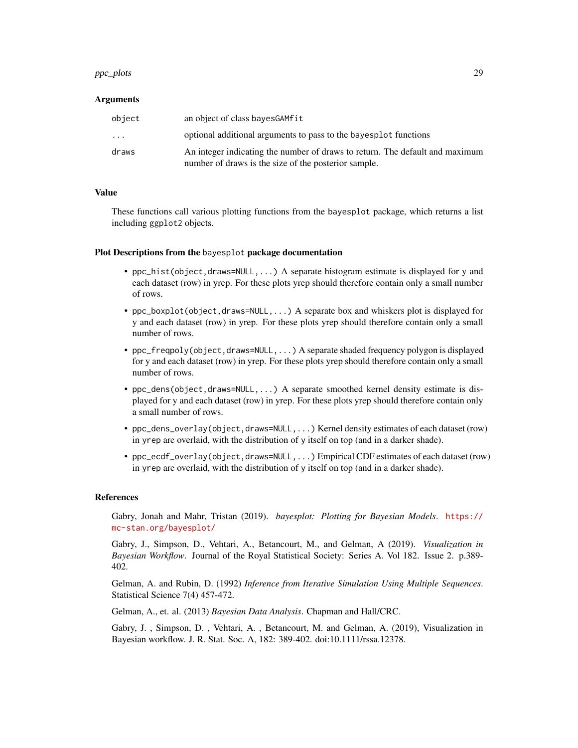#### ppc\_plots 29

#### Arguments

| object    | an object of class bayes GAM fit                                                                                                     |
|-----------|--------------------------------------------------------------------------------------------------------------------------------------|
| $\ddotsc$ | optional additional arguments to pass to the bayesplot functions                                                                     |
| draws     | An integer indicating the number of draws to return. The default and maximum<br>number of draws is the size of the posterior sample. |

# Value

These functions call various plotting functions from the bayesplot package, which returns a list including ggplot2 objects.

#### Plot Descriptions from the bayesplot package documentation

- ppc\_hist(object,draws=NULL,...) A separate histogram estimate is displayed for y and each dataset (row) in yrep. For these plots yrep should therefore contain only a small number of rows.
- ppc\_boxplot(object,draws=NULL,...) A separate box and whiskers plot is displayed for y and each dataset (row) in yrep. For these plots yrep should therefore contain only a small number of rows.
- ppc\_freqpoly(object,draws=NULL,...) A separate shaded frequency polygon is displayed for y and each dataset (row) in yrep. For these plots yrep should therefore contain only a small number of rows.
- ppc\_dens(object,draws=NULL,...) A separate smoothed kernel density estimate is displayed for y and each dataset (row) in yrep. For these plots yrep should therefore contain only a small number of rows.
- ppc\_dens\_overlay(object,draws=NULL,...) Kernel density estimates of each dataset (row) in yrep are overlaid, with the distribution of y itself on top (and in a darker shade).
- ppc\_ecdf\_overlay(object,draws=NULL,...) Empirical CDF estimates of each dataset (row) in yrep are overlaid, with the distribution of y itself on top (and in a darker shade).

#### **References**

Gabry, Jonah and Mahr, Tristan (2019). *bayesplot: Plotting for Bayesian Models*. [https://](https://mc-stan.org/bayesplot/) [mc-stan.org/bayesplot/](https://mc-stan.org/bayesplot/)

Gabry, J., Simpson, D., Vehtari, A., Betancourt, M., and Gelman, A (2019). *Visualization in Bayesian Workflow*. Journal of the Royal Statistical Society: Series A. Vol 182. Issue 2. p.389- 402.

Gelman, A. and Rubin, D. (1992) *Inference from Iterative Simulation Using Multiple Sequences*. Statistical Science 7(4) 457-472.

Gelman, A., et. al. (2013) *Bayesian Data Analysis*. Chapman and Hall/CRC.

Gabry, J. , Simpson, D. , Vehtari, A. , Betancourt, M. and Gelman, A. (2019), Visualization in Bayesian workflow. J. R. Stat. Soc. A, 182: 389-402. doi:10.1111/rssa.12378.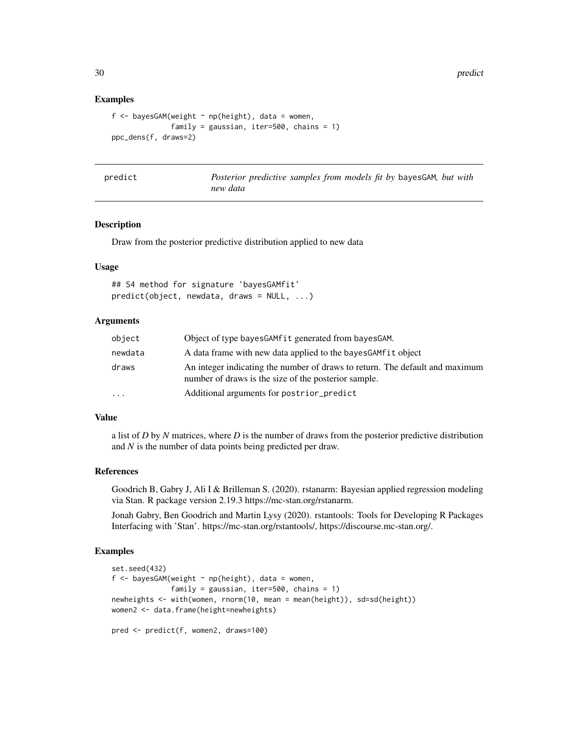30 predict the set of the set of the set of the set of the set of the set of the set of the set of the set of the set of the set of the set of the set of the set of the set of the set of the set of the set of the set of th

#### Examples

```
f <- bayesGAM(weight \sim np(height), data = women,
              family = gaussian, iter=500, chains = 1)
ppc_dens(f, draws=2)
```
predict *Posterior predictive samples from models fit by* bayesGAM*, but with new data*

#### Description

Draw from the posterior predictive distribution applied to new data

#### Usage

## S4 method for signature 'bayesGAMfit' predict(object, newdata, draws = NULL, ...)

# Arguments

| object   | Object of type bayes GAM fit generated from bayes GAM.                                                                               |
|----------|--------------------------------------------------------------------------------------------------------------------------------------|
| newdata  | A data frame with new data applied to the bayes GAM fit object                                                                       |
| draws    | An integer indicating the number of draws to return. The default and maximum<br>number of draws is the size of the posterior sample. |
| $\cdots$ | Additional arguments for postrior_predict                                                                                            |

#### Value

a list of *D* by *N* matrices, where *D* is the number of draws from the posterior predictive distribution and *N* is the number of data points being predicted per draw.

# References

Goodrich B, Gabry J, Ali I & Brilleman S. (2020). rstanarm: Bayesian applied regression modeling via Stan. R package version 2.19.3 https://mc-stan.org/rstanarm.

Jonah Gabry, Ben Goodrich and Martin Lysy (2020). rstantools: Tools for Developing R Packages Interfacing with 'Stan'. https://mc-stan.org/rstantools/, https://discourse.mc-stan.org/.

```
set.seed(432)
f <- bayesGAM(weight \sim np(height), data = women,
              family = gaussian, iter=500, chains = 1)
newheights <- with(women, rnorm(10, mean = mean(height)), sd=sd(height))
women2 <- data.frame(height=newheights)
pred <- predict(f, women2, draws=100)
```
<span id="page-29-0"></span>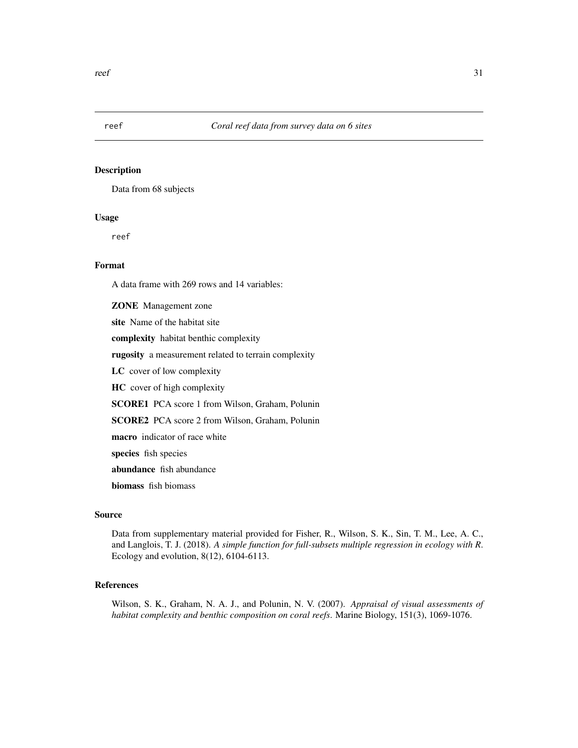<span id="page-30-0"></span>

Data from 68 subjects

# Usage

reef

# Format

A data frame with 269 rows and 14 variables:

ZONE Management zone site Name of the habitat site complexity habitat benthic complexity rugosity a measurement related to terrain complexity LC cover of low complexity HC cover of high complexity SCORE1 PCA score 1 from Wilson, Graham, Polunin SCORE2 PCA score 2 from Wilson, Graham, Polunin macro indicator of race white species fish species abundance fish abundance biomass fish biomass

# Source

Data from supplementary material provided for Fisher, R., Wilson, S. K., Sin, T. M., Lee, A. C., and Langlois, T. J. (2018). *A simple function for full-subsets multiple regression in ecology with R*. Ecology and evolution, 8(12), 6104-6113.

# References

Wilson, S. K., Graham, N. A. J., and Polunin, N. V. (2007). *Appraisal of visual assessments of habitat complexity and benthic composition on coral reefs*. Marine Biology, 151(3), 1069-1076.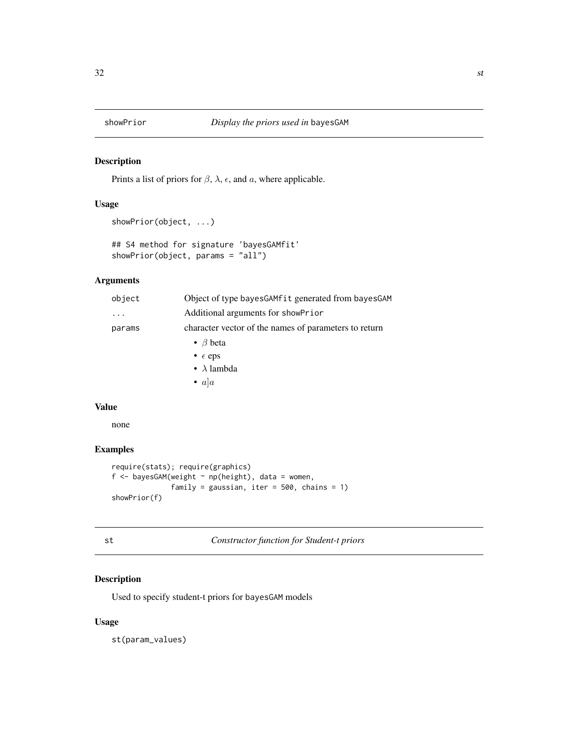<span id="page-31-0"></span>

Prints a list of priors for  $\beta$ ,  $\lambda$ ,  $\epsilon$ , and  $\alpha$ , where applicable.

# Usage

```
showPrior(object, ...)
```

```
## S4 method for signature 'bayesGAMfit'
showPrior(object, params = "all")
```
# Arguments

| object | Object of type bayes GAM fit generated from bayes GAM |
|--------|-------------------------------------------------------|
|        | Additional arguments for showPrior                    |
| params | character vector of the names of parameters to return |
|        | • $\beta$ beta                                        |
|        | • $\epsilon$ eps                                      |
|        | • $\lambda$ lambda                                    |
|        | • $a a$                                               |

# Value

none

# Examples

```
require(stats); require(graphics)
f <- bayesGAM(weight \sim np(height), data = women,
              family = gaussian, iter = 500, chains = 1)
showPrior(f)
```
st *Constructor function for Student-t priors*

# Description

Used to specify student-t priors for bayesGAM models

# Usage

st(param\_values)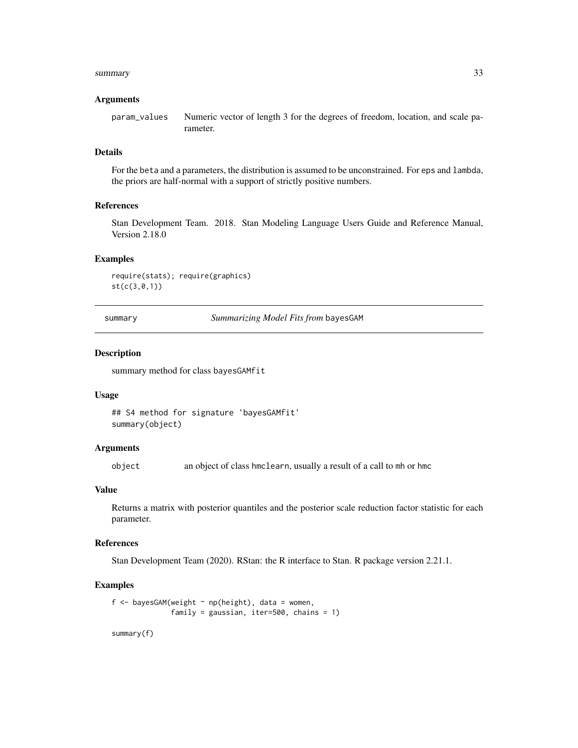#### <span id="page-32-0"></span>summary 33

#### Arguments

param\_values Numeric vector of length 3 for the degrees of freedom, location, and scale parameter.

# Details

For the beta and a parameters, the distribution is assumed to be unconstrained. For eps and lambda, the priors are half-normal with a support of strictly positive numbers.

#### References

Stan Development Team. 2018. Stan Modeling Language Users Guide and Reference Manual, Version 2.18.0

#### Examples

```
require(stats); require(graphics)
st(c(3,0,1))
```
summary *Summarizing Model Fits from* bayesGAM

# Description

summary method for class bayesGAMfit

#### Usage

## S4 method for signature 'bayesGAMfit' summary(object)

#### Arguments

object an object of class hmclearn, usually a result of a call to mh or hmc

# Value

Returns a matrix with posterior quantiles and the posterior scale reduction factor statistic for each parameter.

#### References

Stan Development Team (2020). RStan: the R interface to Stan. R package version 2.21.1.

#### Examples

```
f <- bayesGAM(weight \sim np(height), data = women,
              family = gaussian, iter=500, chains = 1)
```
summary(f)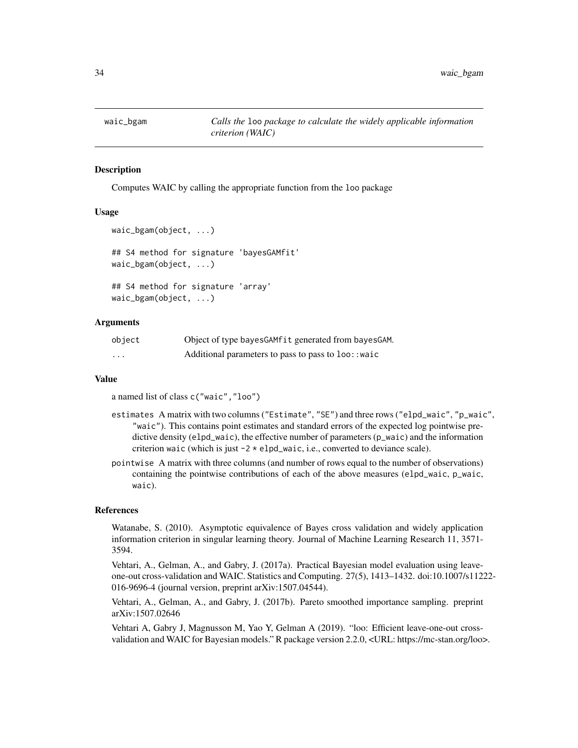<span id="page-33-0"></span>

Computes WAIC by calling the appropriate function from the loo package

#### Usage

```
waic_bgam(object, ...)
## S4 method for signature 'bayesGAMfit'
waic_bgam(object, ...)
## S4 method for signature 'array'
waic_bgam(object, ...)
```
#### Arguments

| object   | Object of type bayes GAM fit generated from bayes GAM. |
|----------|--------------------------------------------------------|
| $\cdots$ | Additional parameters to pass to pass to loo:: waic    |

#### Value

a named list of class c("waic","loo")

- estimates A matrix with two columns ("Estimate", "SE") and three rows ("elpd\_waic", "p\_waic", "waic"). This contains point estimates and standard errors of the expected log pointwise predictive density (elpd\_waic), the effective number of parameters (p\_waic) and the information criterion waic (which is just  $-2 \times$  elpd\_waic, i.e., converted to deviance scale).
- pointwise A matrix with three columns (and number of rows equal to the number of observations) containing the pointwise contributions of each of the above measures (elpd\_waic, p\_waic, waic).

#### References

Watanabe, S. (2010). Asymptotic equivalence of Bayes cross validation and widely application information criterion in singular learning theory. Journal of Machine Learning Research 11, 3571- 3594.

Vehtari, A., Gelman, A., and Gabry, J. (2017a). Practical Bayesian model evaluation using leaveone-out cross-validation and WAIC. Statistics and Computing. 27(5), 1413–1432. doi:10.1007/s11222- 016-9696-4 (journal version, preprint arXiv:1507.04544).

Vehtari, A., Gelman, A., and Gabry, J. (2017b). Pareto smoothed importance sampling. preprint arXiv:1507.02646

Vehtari A, Gabry J, Magnusson M, Yao Y, Gelman A (2019). "loo: Efficient leave-one-out crossvalidation and WAIC for Bayesian models." R package version 2.2.0, <URL: https://mc-stan.org/loo>.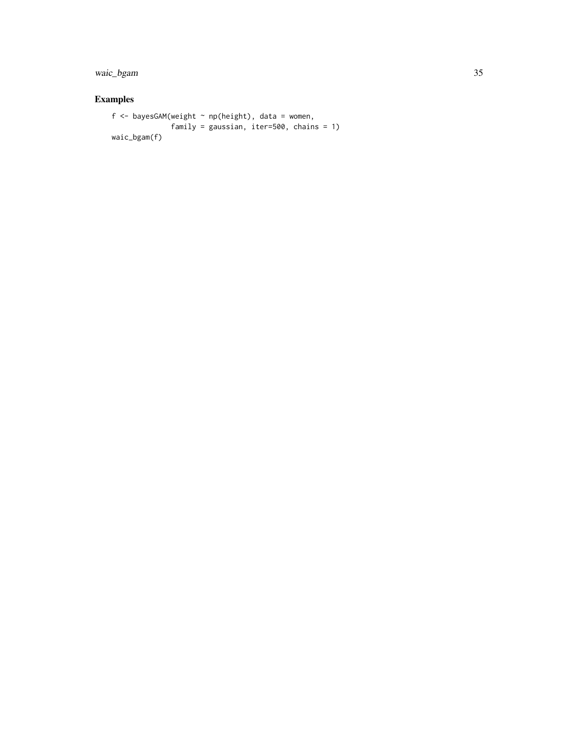waic\_bgam 35

```
f \leq bayesGAM(weight \sim np(height), data = women,
             family = gaussian, iter=500, chains = 1)
waic_bgam(f)
```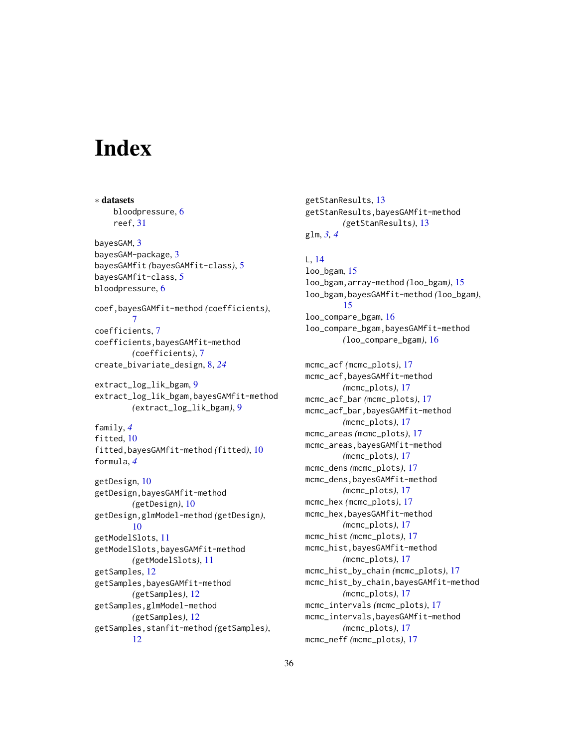# <span id="page-35-0"></span>**Index**

∗ datasets bloodpressure, [6](#page-5-0) reef, [31](#page-30-0) bayesGAM, [3](#page-2-0) bayesGAM-package, [3](#page-2-0) bayesGAMfit *(*bayesGAMfit-class*)*, [5](#page-4-0) bayesGAMfit-class, [5](#page-4-0) bloodpressure, [6](#page-5-0) coef,bayesGAMfit-method *(*coefficients*)*, [7](#page-6-0) coefficients, [7](#page-6-0) coefficients,bayesGAMfit-method *(*coefficients*)*, [7](#page-6-0) create\_bivariate\_design, [8,](#page-7-0) *[24](#page-23-0)* extract\_log\_lik\_bgam, [9](#page-8-0) extract\_log\_lik\_bgam,bayesGAMfit-method *(*extract\_log\_lik\_bgam*)*, [9](#page-8-0) family, *[4](#page-3-0)* fitted, [10](#page-9-0) fitted,bayesGAMfit-method *(*fitted*)*, [10](#page-9-0) formula, *[4](#page-3-0)* getDesign, [10](#page-9-0) getDesign,bayesGAMfit-method *(*getDesign*)*, [10](#page-9-0) getDesign,glmModel-method *(*getDesign*)*, [10](#page-9-0) getModelSlots, [11](#page-10-0) getModelSlots,bayesGAMfit-method *(*getModelSlots*)*, [11](#page-10-0) getSamples, [12](#page-11-0) getSamples,bayesGAMfit-method *(*getSamples*)*, [12](#page-11-0) getSamples,glmModel-method *(*getSamples*)*, [12](#page-11-0) getSamples,stanfit-method *(*getSamples*)*, [12](#page-11-0)

getStanResults, [13](#page-12-0) getStanResults,bayesGAMfit-method *(*getStanResults*)*, [13](#page-12-0) glm, *[3,](#page-2-0) [4](#page-3-0)*

# L, [14](#page-13-0)

loo\_bgam, [15](#page-14-0) loo\_bgam,array-method *(*loo\_bgam*)*, [15](#page-14-0) loo\_bgam,bayesGAMfit-method *(*loo\_bgam*)*, [15](#page-14-0) loo\_compare\_bgam, [16](#page-15-0) loo\_compare\_bgam,bayesGAMfit-method *(*loo\_compare\_bgam*)*, [16](#page-15-0)

mcmc\_acf *(*mcmc\_plots*)*, [17](#page-16-0) mcmc\_acf,bayesGAMfit-method *(*mcmc\_plots*)*, [17](#page-16-0) mcmc\_acf\_bar *(*mcmc\_plots*)*, [17](#page-16-0) mcmc\_acf\_bar,bayesGAMfit-method *(*mcmc\_plots*)*, [17](#page-16-0) mcmc\_areas *(*mcmc\_plots*)*, [17](#page-16-0) mcmc\_areas,bayesGAMfit-method *(*mcmc\_plots*)*, [17](#page-16-0) mcmc\_dens *(*mcmc\_plots*)*, [17](#page-16-0) mcmc\_dens,bayesGAMfit-method *(*mcmc\_plots*)*, [17](#page-16-0) mcmc\_hex *(*mcmc\_plots*)*, [17](#page-16-0) mcmc\_hex,bayesGAMfit-method *(*mcmc\_plots*)*, [17](#page-16-0) mcmc\_hist *(*mcmc\_plots*)*, [17](#page-16-0) mcmc\_hist,bayesGAMfit-method *(*mcmc\_plots*)*, [17](#page-16-0) mcmc\_hist\_by\_chain *(*mcmc\_plots*)*, [17](#page-16-0) mcmc\_hist\_by\_chain,bayesGAMfit-method *(*mcmc\_plots*)*, [17](#page-16-0) mcmc\_intervals *(*mcmc\_plots*)*, [17](#page-16-0) mcmc\_intervals,bayesGAMfit-method *(*mcmc\_plots*)*, [17](#page-16-0) mcmc\_neff *(*mcmc\_plots*)*, [17](#page-16-0)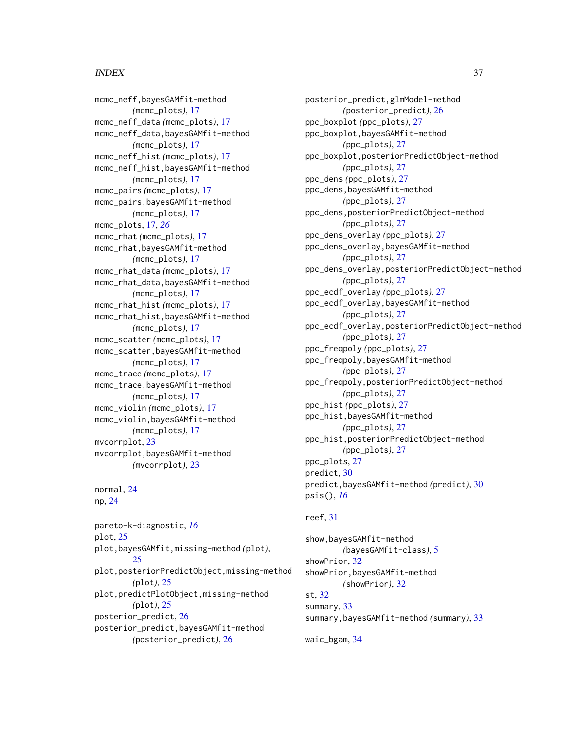# $I<sub>N</sub>$  and  $I<sub>37</sub>$  and  $I<sub>37</sub>$  and  $I<sub>37</sub>$  and  $I<sub>37</sub>$  and  $I<sub>37</sub>$  and  $I<sub>37</sub>$  and  $I<sub>37</sub>$  and  $I<sub>37</sub>$  and  $I<sub>37</sub>$  and  $I<sub>37</sub>$  and  $I<sub>37</sub>$  and  $I<sub>37</sub>$  and  $I<sub>37</sub>$  and

mcmc\_neff,bayesGAMfit-method *(*mcmc\_plots*)*, [17](#page-16-0) mcmc\_neff\_data *(*mcmc\_plots*)*, [17](#page-16-0) mcmc\_neff\_data,bayesGAMfit-method *(*mcmc\_plots*)*, [17](#page-16-0) mcmc\_neff\_hist *(*mcmc\_plots*)*, [17](#page-16-0) mcmc\_neff\_hist,bayesGAMfit-method *(*mcmc\_plots*)*, [17](#page-16-0) mcmc\_pairs *(*mcmc\_plots*)*, [17](#page-16-0) mcmc\_pairs,bayesGAMfit-method *(*mcmc\_plots*)*, [17](#page-16-0) mcmc\_plots, [17,](#page-16-0) *[26](#page-25-0)* mcmc\_rhat *(*mcmc\_plots*)*, [17](#page-16-0) mcmc\_rhat,bayesGAMfit-method *(*mcmc\_plots*)*, [17](#page-16-0) mcmc\_rhat\_data *(*mcmc\_plots*)*, [17](#page-16-0) mcmc\_rhat\_data,bayesGAMfit-method *(*mcmc\_plots*)*, [17](#page-16-0) mcmc\_rhat\_hist *(*mcmc\_plots*)*, [17](#page-16-0) mcmc\_rhat\_hist,bayesGAMfit-method *(*mcmc\_plots*)*, [17](#page-16-0) mcmc\_scatter *(*mcmc\_plots*)*, [17](#page-16-0) mcmc\_scatter,bayesGAMfit-method *(*mcmc\_plots*)*, [17](#page-16-0) mcmc\_trace *(*mcmc\_plots*)*, [17](#page-16-0) mcmc\_trace,bayesGAMfit-method *(*mcmc\_plots*)*, [17](#page-16-0) mcmc\_violin *(*mcmc\_plots*)*, [17](#page-16-0) mcmc\_violin,bayesGAMfit-method *(*mcmc\_plots*)*, [17](#page-16-0) mvcorrplot, [23](#page-22-0) mvcorrplot,bayesGAMfit-method *(*mvcorrplot*)*, [23](#page-22-0)

normal, [24](#page-23-0) np, [24](#page-23-0)

pareto-k-diagnostic, *[16](#page-15-0)* plot, [25](#page-24-0) plot,bayesGAMfit,missing-method *(*plot*)*,  $25$ plot,posteriorPredictObject,missing-method *(*plot*)*, [25](#page-24-0) plot,predictPlotObject,missing-method *(*plot*)*, [25](#page-24-0) posterior\_predict, [26](#page-25-0) posterior\_predict,bayesGAMfit-method *(*posterior\_predict*)*, [26](#page-25-0)

posterior\_predict,glmModel-method *(*posterior\_predict*)*, [26](#page-25-0) ppc\_boxplot *(*ppc\_plots*)*, [27](#page-26-0) ppc\_boxplot,bayesGAMfit-method *(*ppc\_plots*)*, [27](#page-26-0) ppc\_boxplot,posteriorPredictObject-method *(*ppc\_plots*)*, [27](#page-26-0) ppc\_dens *(*ppc\_plots*)*, [27](#page-26-0) ppc\_dens,bayesGAMfit-method *(*ppc\_plots*)*, [27](#page-26-0) ppc\_dens,posteriorPredictObject-method *(*ppc\_plots*)*, [27](#page-26-0) ppc\_dens\_overlay *(*ppc\_plots*)*, [27](#page-26-0) ppc\_dens\_overlay,bayesGAMfit-method *(*ppc\_plots*)*, [27](#page-26-0) ppc\_dens\_overlay,posteriorPredictObject-method *(*ppc\_plots*)*, [27](#page-26-0) ppc\_ecdf\_overlay *(*ppc\_plots*)*, [27](#page-26-0) ppc\_ecdf\_overlay,bayesGAMfit-method *(*ppc\_plots*)*, [27](#page-26-0) ppc\_ecdf\_overlay,posteriorPredictObject-method *(*ppc\_plots*)*, [27](#page-26-0) ppc\_freqpoly *(*ppc\_plots*)*, [27](#page-26-0) ppc\_freqpoly,bayesGAMfit-method *(*ppc\_plots*)*, [27](#page-26-0) ppc\_freqpoly,posteriorPredictObject-method *(*ppc\_plots*)*, [27](#page-26-0) ppc\_hist *(*ppc\_plots*)*, [27](#page-26-0) ppc\_hist,bayesGAMfit-method *(*ppc\_plots*)*, [27](#page-26-0) ppc\_hist,posteriorPredictObject-method *(*ppc\_plots*)*, [27](#page-26-0) ppc\_plots, [27](#page-26-0) predict, [30](#page-29-0) predict,bayesGAMfit-method *(*predict*)*, [30](#page-29-0) psis(), *[16](#page-15-0)*

# reef, [31](#page-30-0)

show,bayesGAMfit-method *(*bayesGAMfit-class*)*, [5](#page-4-0) showPrior, [32](#page-31-0) showPrior,bayesGAMfit-method *(*showPrior*)*, [32](#page-31-0) st, [32](#page-31-0) summary, [33](#page-32-0) summary,bayesGAMfit-method *(*summary*)*, [33](#page-32-0)

waic\_bgam, [34](#page-33-0)